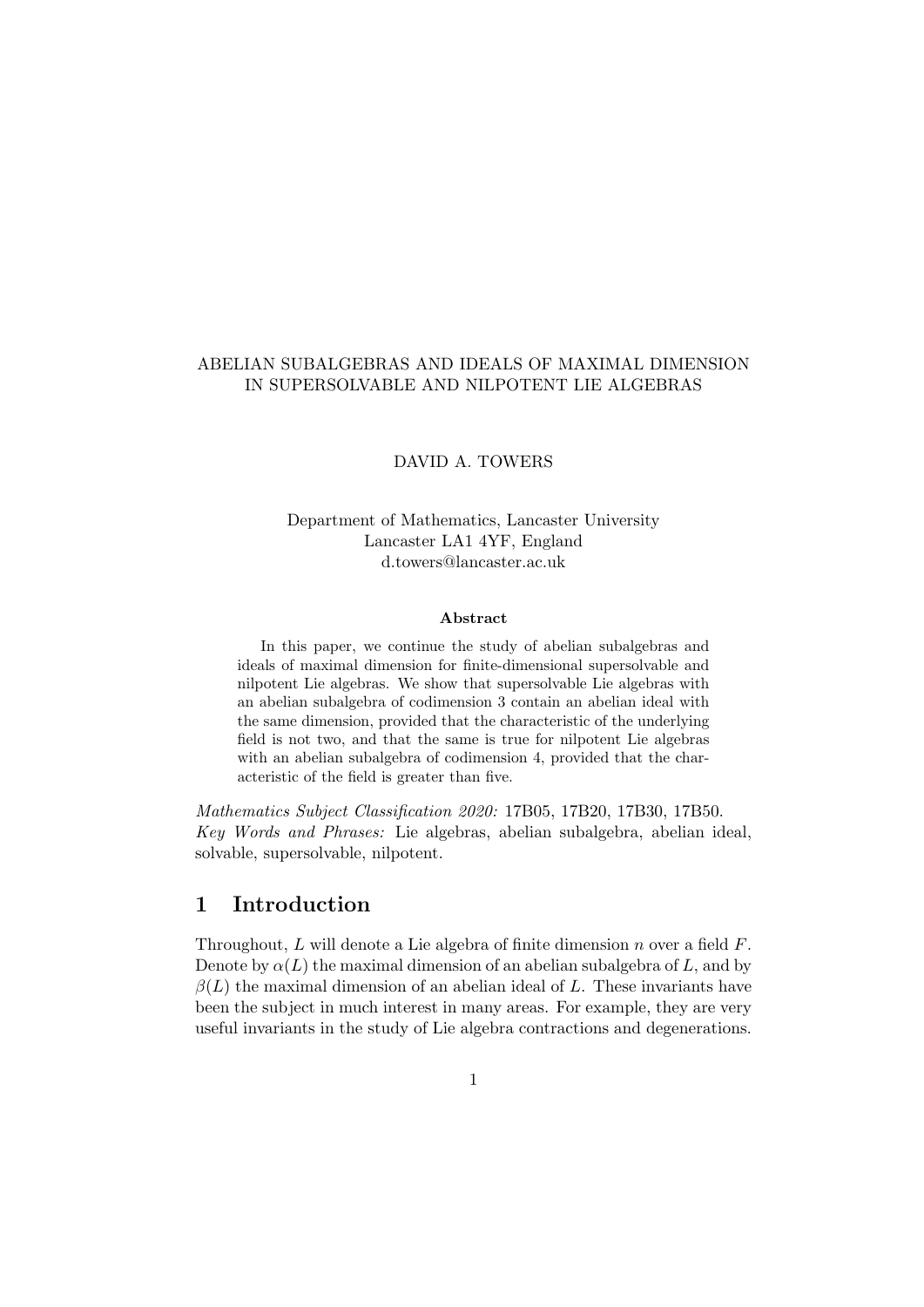## ABELIAN SUBALGEBRAS AND IDEALS OF MAXIMAL DIMENSION IN SUPERSOLVABLE AND NILPOTENT LIE ALGEBRAS

### DAVID A. TOWERS

## Department of Mathematics, Lancaster University Lancaster LA1 4YF, England d.towers@lancaster.ac.uk

#### Abstract

In this paper, we continue the study of abelian subalgebras and ideals of maximal dimension for finite-dimensional supersolvable and nilpotent Lie algebras. We show that supersolvable Lie algebras with an abelian subalgebra of codimension 3 contain an abelian ideal with the same dimension, provided that the characteristic of the underlying field is not two, and that the same is true for nilpotent Lie algebras with an abelian subalgebra of codimension 4, provided that the characteristic of the field is greater than five.

Mathematics Subject Classification 2020: 17B05, 17B20, 17B30, 17B50. Key Words and Phrases: Lie algebras, abelian subalgebra, abelian ideal, solvable, supersolvable, nilpotent.

## 1 Introduction

Throughout, L will denote a Lie algebra of finite dimension n over a field  $F$ . Denote by  $\alpha(L)$  the maximal dimension of an abelian subalgebra of L, and by  $\beta(L)$  the maximal dimension of an abelian ideal of L. These invariants have been the subject in much interest in many areas. For example, they are very useful invariants in the study of Lie algebra contractions and degenerations.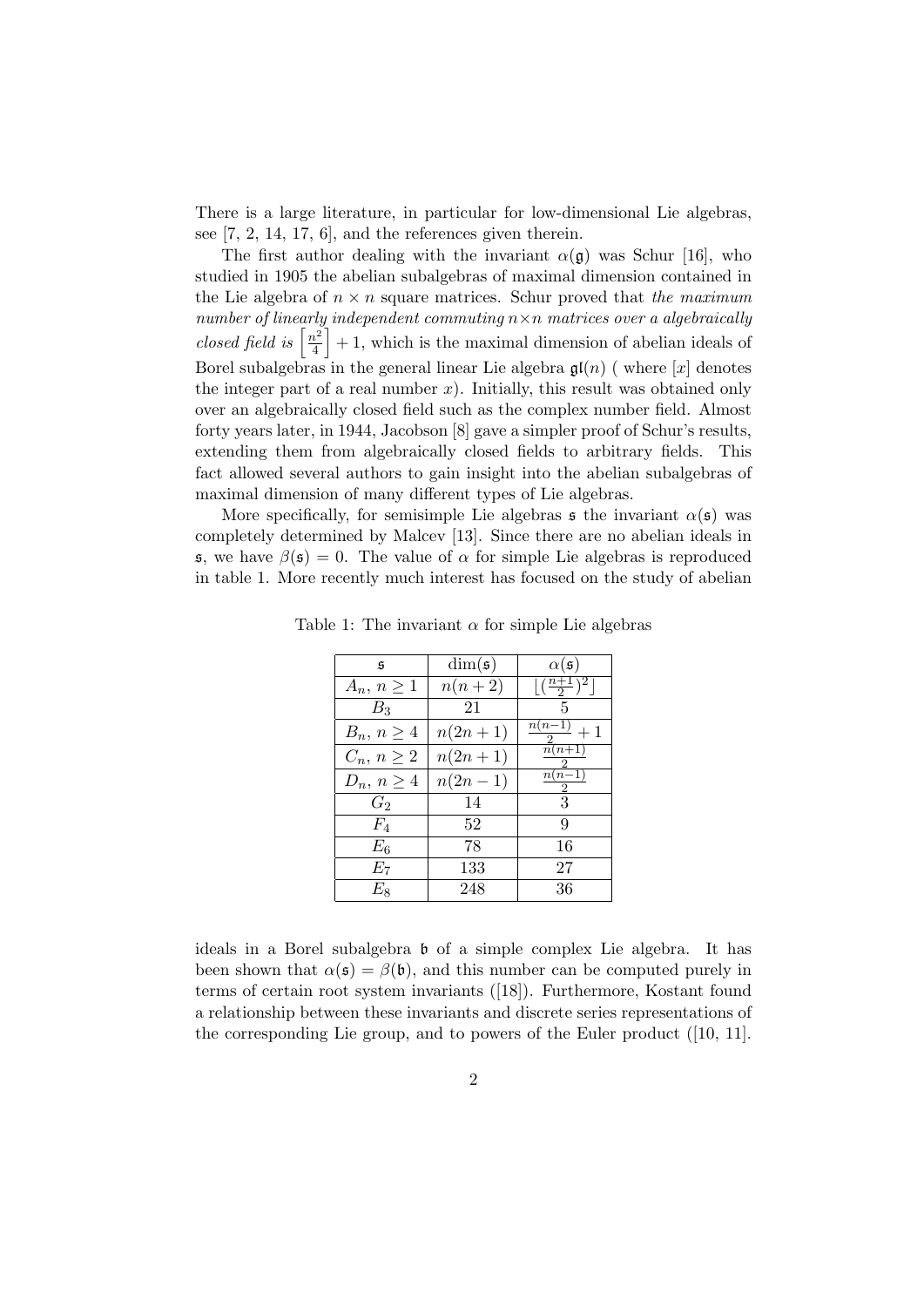There is a large literature, in particular for low-dimensional Lie algebras, see [7, 2, 14, 17, 6], and the references given therein.

The first author dealing with the invariant  $\alpha(\mathfrak{g})$  was Schur [16], who studied in 1905 the abelian subalgebras of maximal dimension contained in the Lie algebra of  $n \times n$  square matrices. Schur proved that the maximum number of linearly independent commuting  $n \times n$  matrices over a algebraically closed field is  $\left\lceil \frac{n^2}{4} \right\rceil$  $\left[\frac{h^2}{4}\right] + 1$ , which is the maximal dimension of abelian ideals of Borel subalgebras in the general linear Lie algebra  $\mathfrak{gl}(n)$  (where  $[x]$  denotes the integer part of a real number  $x$ ). Initially, this result was obtained only over an algebraically closed field such as the complex number field. Almost forty years later, in 1944, Jacobson [8] gave a simpler proof of Schur's results, extending them from algebraically closed fields to arbitrary fields. This fact allowed several authors to gain insight into the abelian subalgebras of maximal dimension of many different types of Lie algebras.

More specifically, for semisimple Lie algebras  $\mathfrak s$  the invariant  $\alpha(\mathfrak s)$  was completely determined by Malcev [13]. Since there are no abelian ideals in s, we have  $\beta(\mathfrak{s})=0$ . The value of  $\alpha$  for simple Lie algebras is reproduced in table 1. More recently much interest has focused on the study of abelian

| $\mathfrak{s}$  | $\dim(\mathfrak{s})$ | $\alpha(\mathfrak{s})$                      |
|-----------------|----------------------|---------------------------------------------|
| $A_n, n \geq 1$ | $n(n+2)$             | $\left[\left(\frac{n+1}{2}\right)^2\right]$ |
| $B_3$           | 21                   | 5                                           |
| $B_n, n \geq 4$ | $n(2n+1)$            | $\frac{n(n-1)}{n+1}$                        |
| $C_n, n \geq 2$ | $n(2n+1)$            | $\overline{n}(n+1)$<br>2.                   |
| $D_n, n \geq 4$ | $n(2n-1)$            | $\overline{n(n-1)}$<br>2                    |
| $G_2$           | 14                   | 3                                           |
| $F_4$           | 52                   | 9                                           |
| $E_6$           | 78                   | 16                                          |
| $E_7$           | 133                  | 27                                          |
| $E_8$           | 248                  | 36                                          |

Table 1: The invariant  $\alpha$  for simple Lie algebras

ideals in a Borel subalgebra b of a simple complex Lie algebra. It has been shown that  $\alpha(\mathfrak{s}) = \beta(\mathfrak{b})$ , and this number can be computed purely in terms of certain root system invariants ([18]). Furthermore, Kostant found a relationship between these invariants and discrete series representations of the corresponding Lie group, and to powers of the Euler product ([10, 11].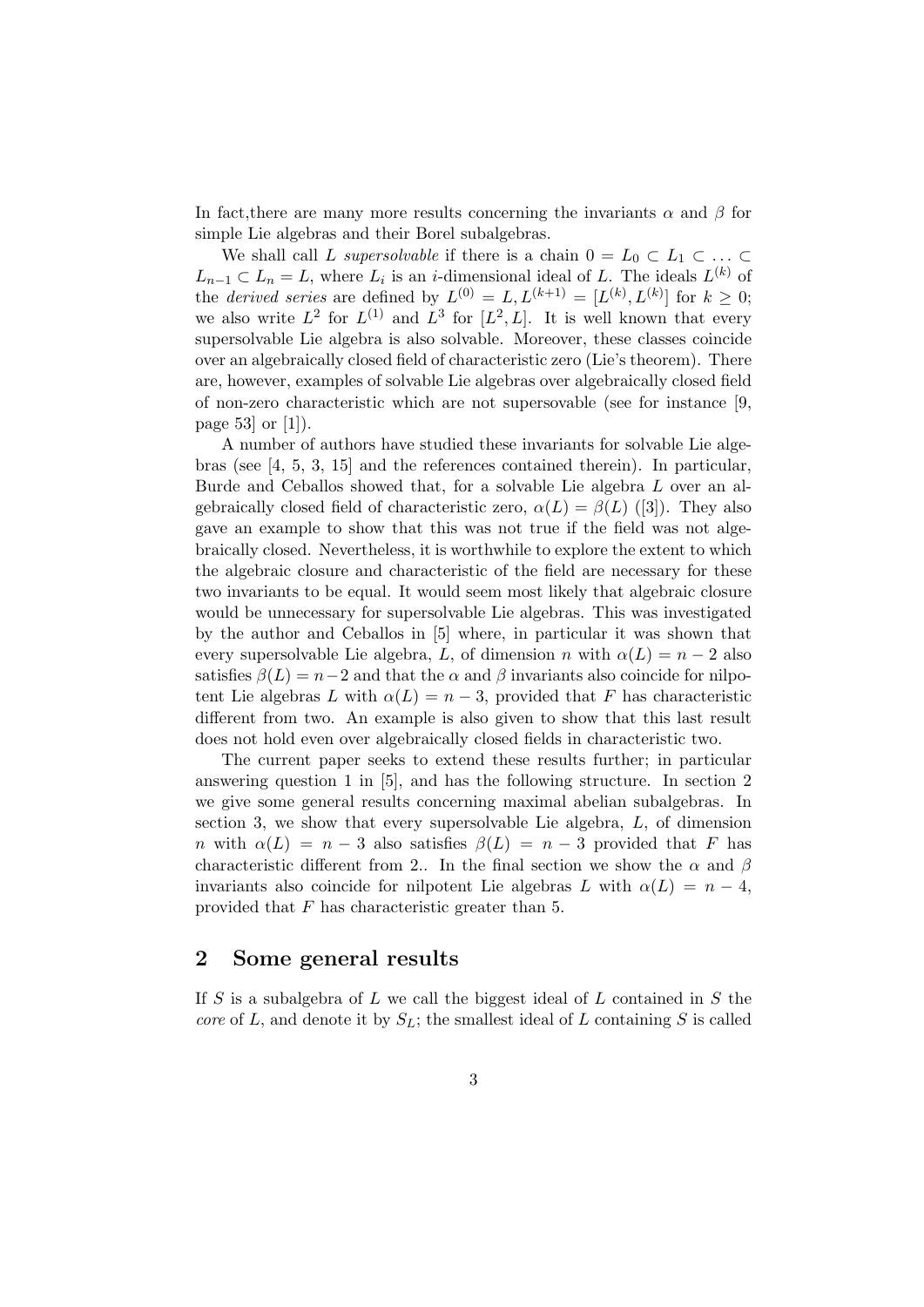In fact, there are many more results concerning the invariants  $\alpha$  and  $\beta$  for simple Lie algebras and their Borel subalgebras.

We shall call L supersolvable if there is a chain  $0 = L_0 \subset L_1 \subset \ldots \subset$  $L_{n-1} \subset L_n = L$ , where  $L_i$  is an *i*-dimensional ideal of L. The ideals  $L^{(k)}$  of the *derived series* are defined by  $L^{(0)} = L, L^{(k+1)} = [L^{(k)}, L^{(k)}]$  for  $k \geq 0$ ; we also write  $L^2$  for  $L^{(1)}$  and  $L^3$  for  $[L^2, L]$ . It is well known that every supersolvable Lie algebra is also solvable. Moreover, these classes coincide over an algebraically closed field of characteristic zero (Lie's theorem). There are, however, examples of solvable Lie algebras over algebraically closed field of non-zero characteristic which are not supersovable (see for instance [9, page 53 or  $[1]$ ).

A number of authors have studied these invariants for solvable Lie algebras (see [4, 5, 3, 15] and the references contained therein). In particular, Burde and Ceballos showed that, for a solvable Lie algebra L over an algebraically closed field of characteristic zero,  $\alpha(L) = \beta(L)$  ([3]). They also gave an example to show that this was not true if the field was not algebraically closed. Nevertheless, it is worthwhile to explore the extent to which the algebraic closure and characteristic of the field are necessary for these two invariants to be equal. It would seem most likely that algebraic closure would be unnecessary for supersolvable Lie algebras. This was investigated by the author and Ceballos in [5] where, in particular it was shown that every supersolvable Lie algebra, L, of dimension n with  $\alpha(L) = n - 2$  also satisfies  $\beta(L) = n-2$  and that the  $\alpha$  and  $\beta$  invariants also coincide for nilpotent Lie algebras L with  $\alpha(L) = n - 3$ , provided that F has characteristic different from two. An example is also given to show that this last result does not hold even over algebraically closed fields in characteristic two.

The current paper seeks to extend these results further; in particular answering question 1 in [5], and has the following structure. In section 2 we give some general results concerning maximal abelian subalgebras. In section 3, we show that every supersolvable Lie algebra, L, of dimension n with  $\alpha(L) = n - 3$  also satisfies  $\beta(L) = n - 3$  provided that F has characteristic different from 2.. In the final section we show the  $\alpha$  and  $\beta$ invariants also coincide for nilpotent Lie algebras L with  $\alpha(L) = n - 4$ , provided that F has characteristic greater than 5.

## 2 Some general results

If  $S$  is a subalgebra of  $L$  we call the biggest ideal of  $L$  contained in  $S$  the core of L, and denote it by  $S_L$ ; the smallest ideal of L containing S is called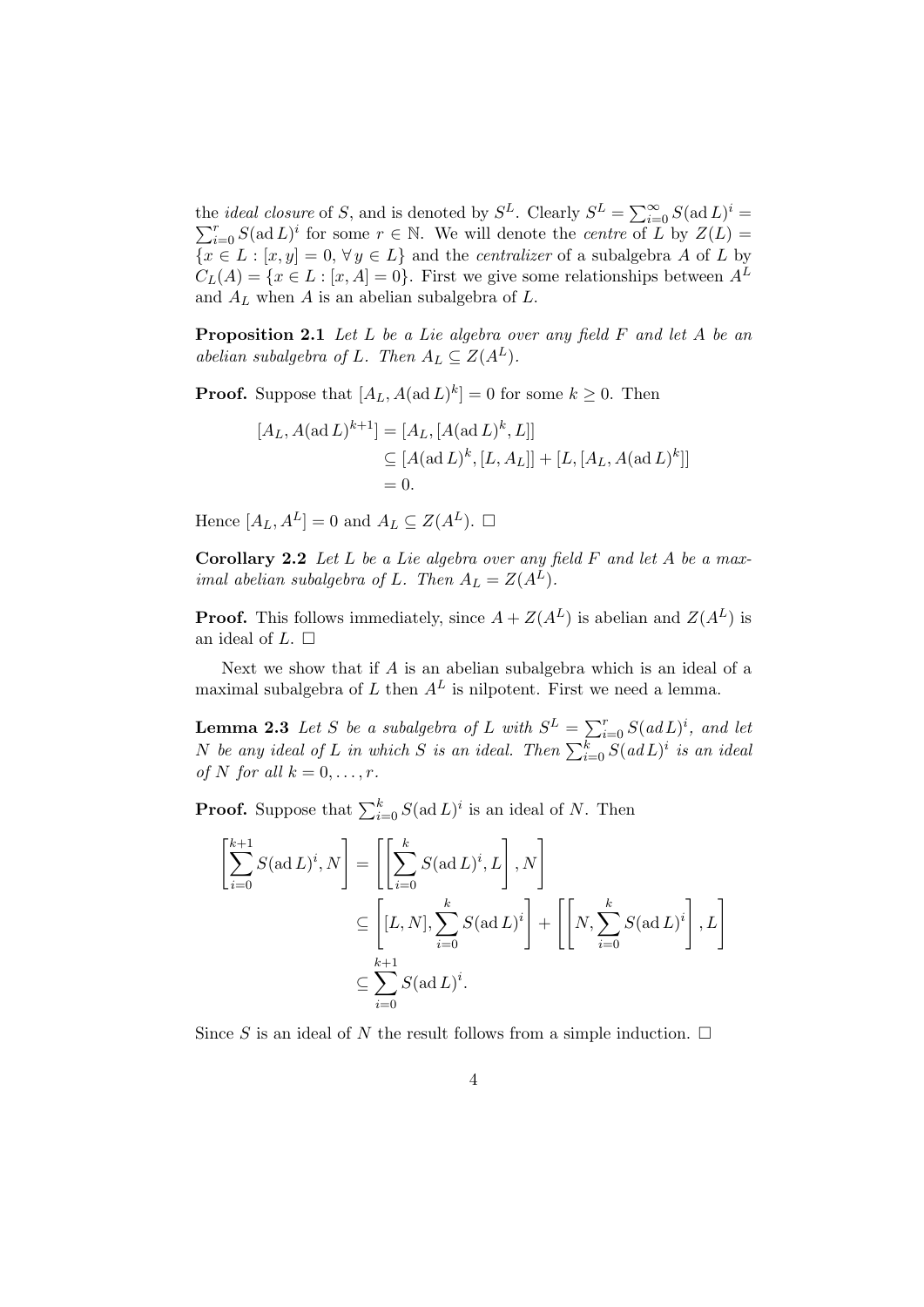the *ideal closure* of S, and is denoted by  $S^L$ . Clearly  $S^L = \sum_{i=0}^{\infty} S(\text{ad } L)$  $\sum$ e *ideal closure* of *S*, and is denoted by  $S^L$ . Clearly  $S^L = \sum_{i=0}^{\infty} S(\text{ad } L)^i$  =  $\sum_{i=0}^r S(\text{ad } L)^i$  for some  $r \in \mathbb{N}$ . We will denote the *centre* of *L* by  $Z(L)$  =  ${x \in L : [x, y] = 0, \forall y \in L}$  and the *centralizer* of a subalgebra A of L by  $C<sub>L</sub>(A) = \{x \in L : [x, A] = 0\}.$  First we give some relationships between  $A<sup>L</sup>$ and  $A_L$  when  $A$  is an abelian subalgebra of  $L$ .

Proposition 2.1 Let L be a Lie algebra over any field F and let A be an abelian subalgebra of L. Then  $A_L \subseteq Z(A^L)$ .

**Proof.** Suppose that  $[A_L, A(\text{ad }L)^k] = 0$  for some  $k \geq 0$ . Then

$$
[A_L, A(\text{ad }L)^{k+1}] = [A_L, [A(\text{ad }L)^k, L]]
$$
  
\n
$$
\subseteq [A(\text{ad }L)^k, [L, A_L]] + [L, [A_L, A(\text{ad }L)^k]]
$$
  
\n
$$
= 0.
$$

Hence  $[A_L, A^L] = 0$  and  $A_L \subseteq Z(A^L)$ .  $\square$ 

**Corollary 2.2** Let  $L$  be a Lie algebra over any field  $F$  and let  $A$  be a maximal abelian subalgebra of L. Then  $A_L = Z(A^L)$ .

**Proof.** This follows immediately, since  $A + Z(A^L)$  is abelian and  $Z(A^L)$  is an ideal of  $L. \Box$ 

Next we show that if  $A$  is an abelian subalgebra which is an ideal of a maximal subalgebra of L then  $A<sup>L</sup>$  is nilpotent. First we need a lemma.

**Lemma 2.3** Let S be a subalgebra of L with  $S^L = \sum_{i=0}^r S(adL)^i$ , and let N be any ideal of L in which S is an ideal. Then  $\sum_{i=0}^k S(ad\,L)^i$  is an ideal of N for all  $k = 0, \ldots, r$ .

**Proof.** Suppose that  $\sum_{i=0}^{k} S(\text{ad } L)^i$  is an ideal of N. Then

$$
\begin{aligned}\n\begin{bmatrix}\n\sum_{i=0}^{k+1} S(\text{ad } L)^i, N \\
\sum_{i=0}^{k+1} S(\text{ad } L)^i, L\n\end{bmatrix}, N\n\end{aligned}\n\leq\n\begin{bmatrix}\n\sum_{i=0}^{k} S(\text{ad } L)^i, L \\
\sum_{i=0}^{k+1} S(\text{ad } L)^i\n\end{bmatrix} + \left[\n\begin{bmatrix}\nN, \sum_{i=0}^{k} S(\text{ad } L)^i\n\end{bmatrix}, L\n\end{bmatrix}\n\leq\n\sum_{i=0}^{k+1} S(\text{ad } L)^i.
$$

Since S is an ideal of N the result follows from a simple induction.  $\Box$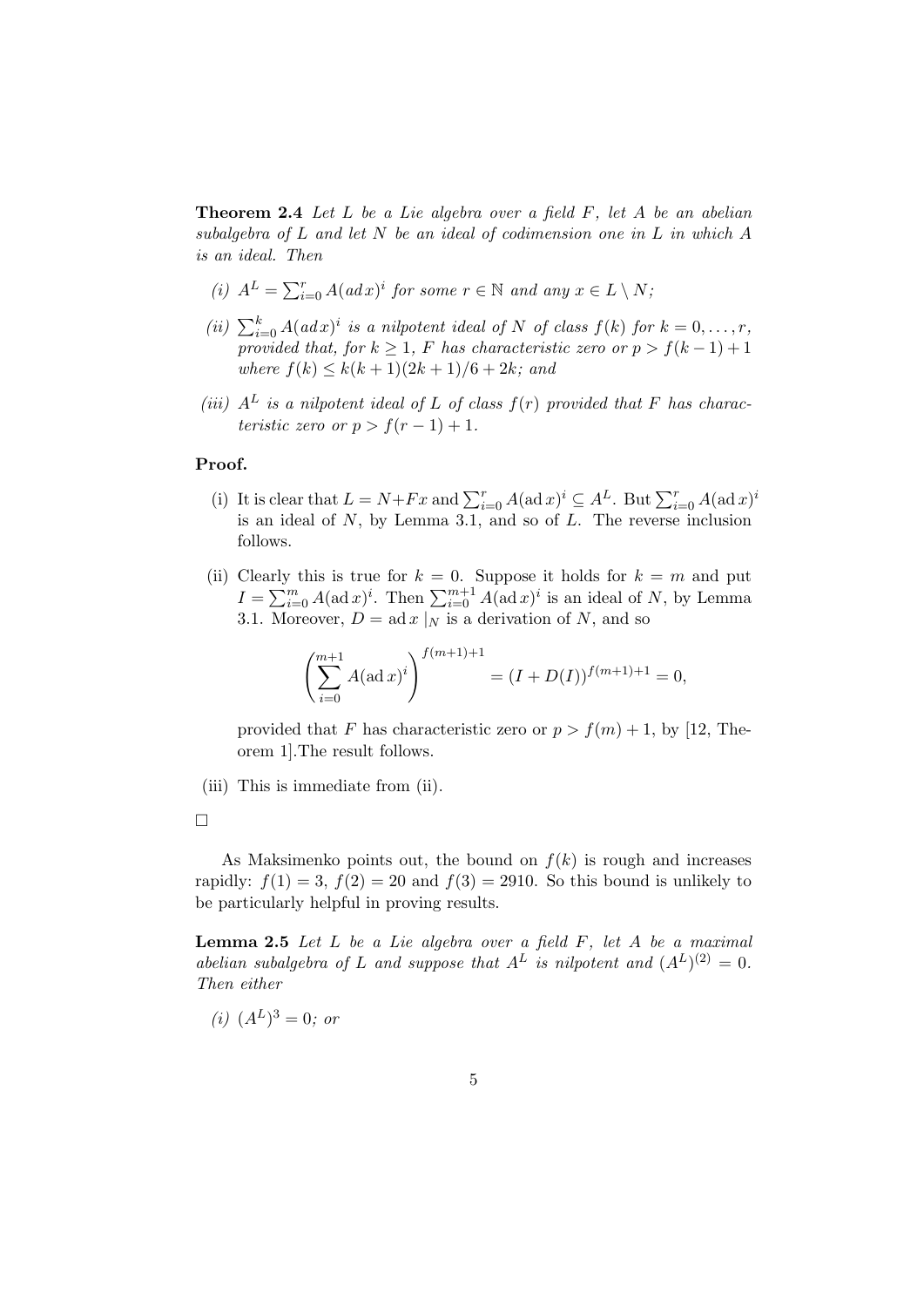**Theorem 2.4** Let  $L$  be a Lie algebra over a field  $F$ , let  $A$  be an abelian subalgebra of L and let N be an ideal of codimension one in L in which A is an ideal. Then

- (i)  $A^L = \sum_{i=0}^r A(adx)^i$  for some  $r \in \mathbb{N}$  and any  $x \in L \setminus N$ ;
- (ii)  $\sum_{i=0}^{k} A(adx)^{i}$  is a nilpotent ideal of N of class  $f(k)$  for  $k = 0, \ldots, r$ , provided that, for  $k \geq 1$ , F has characteristic zero or  $p > f(k-1)+1$ where  $f(k) \leq k(k+1)(2k+1)/6 + 2k$ ; and
- (iii)  $A<sup>L</sup>$  is a nilpotent ideal of L of class  $f(r)$  provided that F has characteristic zero or  $p > f(r-1) + 1$ .

#### Proof.

- (i) It is clear that  $L = N + Fx$  and  $\sum_{i=0}^{r} A(\text{ad }x)^{i} \subseteq A^{L}$ . But  $\sum_{i=0}^{r} A(\text{ad }x)^{i}$ is an ideal of  $N$ , by Lemma 3.1, and so of  $L$ . The reverse inclusion follows.
- (ii) Clearly this is true for  $k = 0$ . Suppose it holds for  $k = m$  and put  $I = \sum_{i=0}^{m} A(\text{ad }x)^i$ . Then  $\sum_{i=0}^{m+1} A(\text{ad }x)^i$  is an ideal of N, by Lemma 3.1. Moreover,  $D = ad x |_{N}$  is a derivation of N, and so

$$
\left(\sum_{i=0}^{m+1} A(\operatorname{ad} x)^i\right)^{f(m+1)+1} = (I + D(I))^{f(m+1)+1} = 0,
$$

provided that F has characteristic zero or  $p > f(m) + 1$ , by [12, Theorem 1].The result follows.

(iii) This is immediate from (ii).



As Maksimenko points out, the bound on  $f(k)$  is rough and increases rapidly:  $f(1) = 3$ ,  $f(2) = 20$  and  $f(3) = 2910$ . So this bound is unlikely to be particularly helpful in proving results.

**Lemma 2.5** Let  $L$  be a Lie algebra over a field  $F$ , let  $A$  be a maximal abelian subalgebra of L and suppose that  $A^L$  is nilpotent and  $(A^L)^{(2)} = 0$ . Then either

(*i*) 
$$
(A^L)^3 = 0
$$
; or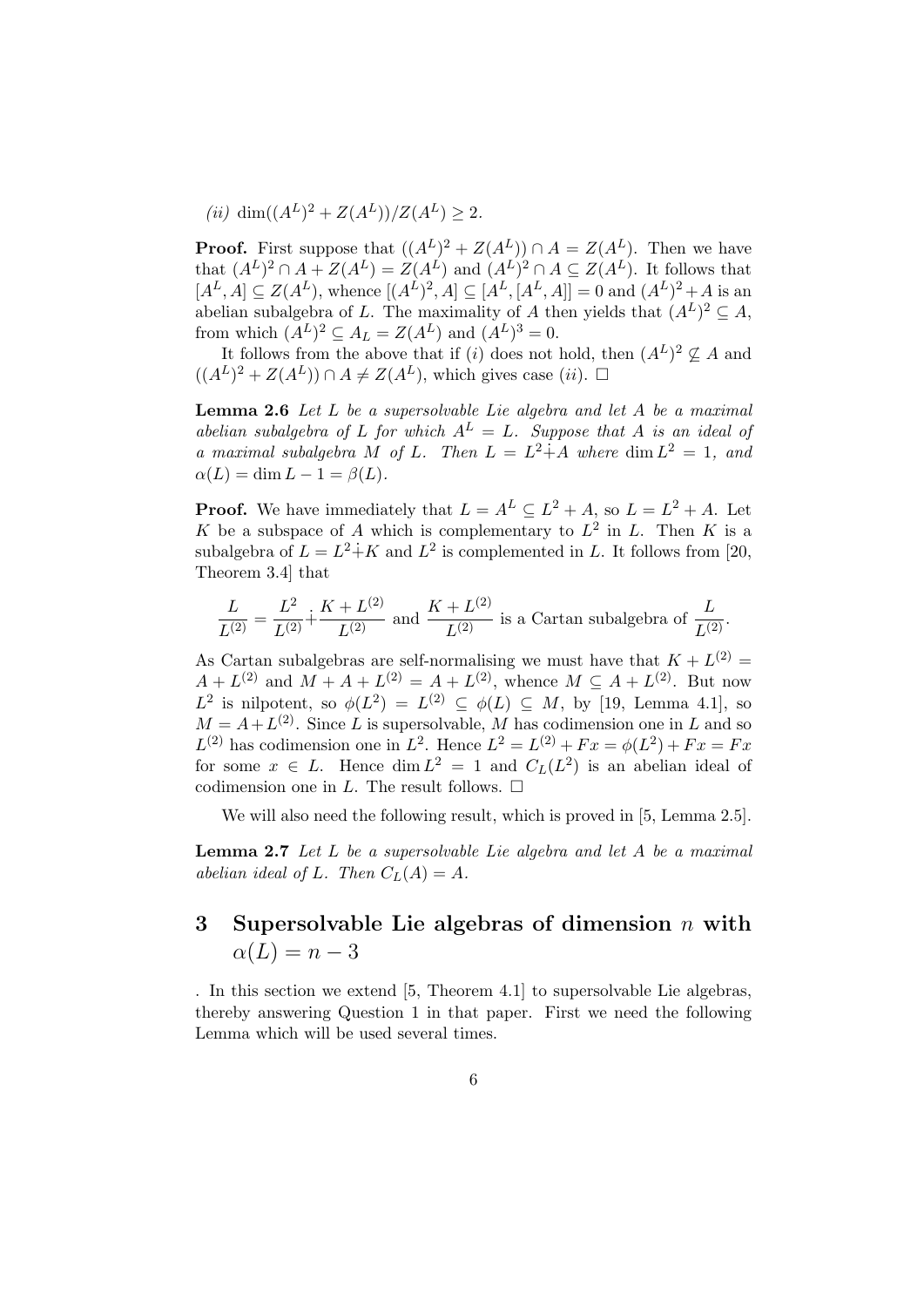(*ii*) dim( $(A^L)^2 + Z(A^L)$ )/ $Z(A^L) \geq 2$ .

**Proof.** First suppose that  $((A<sup>L</sup>)<sup>2</sup> + Z(A<sup>L</sup>)) \cap A = Z(A<sup>L</sup>)$ . Then we have that  $(A^L)^2 \cap A + Z(A^L) = Z(A^L)$  and  $(A^L)^2 \cap A \subseteq Z(A^L)$ . It follows that  $[A^L, A] \subseteq Z(A^L)$ , whence  $[(A^L)^2, A] \subseteq [A^L, [A^L, A]] = 0$  and  $(A^L)^2 + A$  is an abelian subalgebra of L. The maximality of A then yields that  $(A^L)^2 \subseteq A$ , from which  $(A^L)^2 \subseteq A_L = Z(A^L)$  and  $(A^L)^3 = 0$ .

It follows from the above that if (i) does not hold, then  $(A<sup>L</sup>)<sup>2</sup> \nsubseteq A$  and  $((A<sup>L</sup>)<sup>2</sup> + Z(A<sup>L</sup>)) \cap A \neq Z(A<sup>L</sup>)$ , which gives case  $(ii)$ .  $\Box$ 

**Lemma 2.6** Let  $L$  be a supersolvable Lie algebra and let  $A$  be a maximal abelian subalgebra of L for which  $A^L = L$ . Suppose that A is an ideal of a maximal subalgebra M of L. Then  $L = L^2 \dot{+} A$  where  $\dim L^2 = 1$ , and  $\alpha(L) = \dim L - 1 = \beta(L).$ 

**Proof.** We have immediately that  $L = A^L \subseteq L^2 + A$ , so  $L = L^2 + A$ . Let K be a subspace of A which is complementary to  $L^2$  in L. Then K is a subalgebra of  $L = L^2 + K$  and  $L^2$  is complemented in L. It follows from [20, Theorem 3.4] that

$$
\frac{L}{L^{(2)}} = \frac{L^2}{L^{(2)}} + \frac{K + L^{(2)}}{L^{(2)}}
$$
 and  $\frac{K + L^{(2)}}{L^{(2)}}$  is a Cartan subalgebra of  $\frac{L}{L^{(2)}}$ .

As Cartan subalgebras are self-normalising we must have that  $K + L^{(2)} =$  $A + L^{(2)}$  and  $M + A + L^{(2)} = A + L^{(2)}$ , whence  $M \subseteq A + L^{(2)}$ . But now  $L^2$  is nilpotent, so  $\phi(L^2) = L^{(2)} \subseteq \phi(L) \subseteq M$ , by [19, Lemma 4.1], so  $M = A + L^{(2)}$ . Since L is supersolvable, M has codimension one in L and so  $L^{(2)}$  has codimension one in  $L^2$ . Hence  $L^2 = L^{(2)} + Fx = \phi(L^2) + Fx = Fx$ for some  $x \in L$ . Hence  $\dim L^2 = 1$  and  $C_L(L^2)$  is an abelian ideal of codimension one in L. The result follows.  $\Box$ 

We will also need the following result, which is proved in [5, Lemma 2.5].

**Lemma 2.7** Let L be a supersolvable Lie algebra and let A be a maximal abelian ideal of L. Then  $C<sub>L</sub>(A) = A$ .

# 3 Supersolvable Lie algebras of dimension  $n$  with  $\alpha(L) = n - 3$

. In this section we extend [5, Theorem 4.1] to supersolvable Lie algebras, thereby answering Question 1 in that paper. First we need the following Lemma which will be used several times.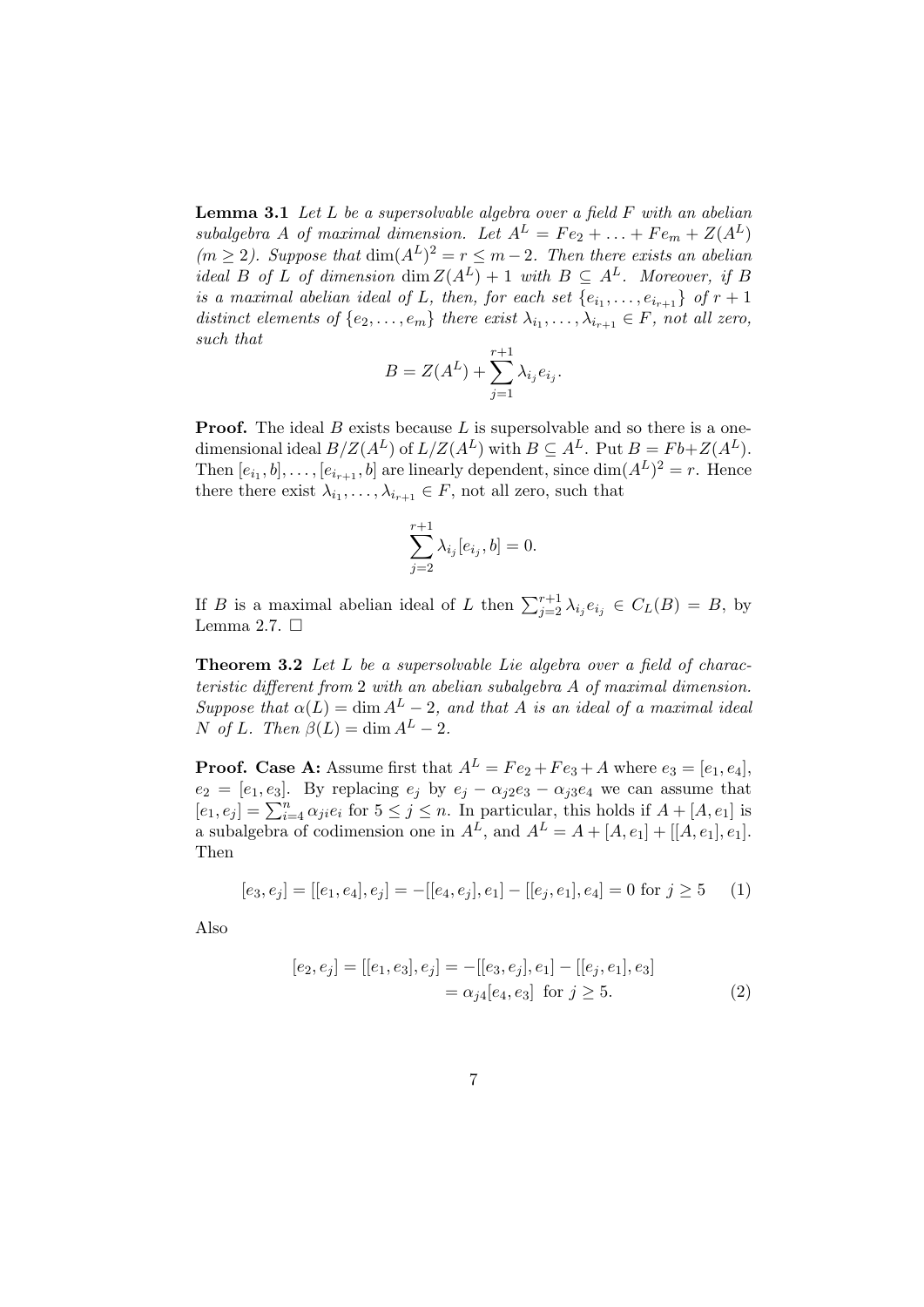**Lemma 3.1** Let  $L$  be a supersolvable algebra over a field  $F$  with an abelian subalgebra A of maximal dimension. Let  $A^L = Fe_2 + \ldots + Fe_m + Z(A^L)$  $(m \geq 2)$ . Suppose that  $\dim(A^L)^2 = r \leq m-2$ . Then there exists an abelian ideal B of L of dimension dim  $Z(A^L) + 1$  with  $B \subseteq A^L$ . Moreover, if B is a maximal abelian ideal of L, then, for each set  $\{e_{i_1}, \ldots, e_{i_{r+1}}\}$  of  $r+1$ distinct elements of  $\{e_2, \ldots, e_m\}$  there exist  $\lambda_{i_1}, \ldots, \lambda_{i_{r+1}} \in F$ , not all zero, such that

$$
B = Z(A^L) + \sum_{j=1}^{r+1} \lambda_{i_j} e_{i_j}.
$$

**Proof.** The ideal B exists because L is supersolvable and so there is a onedimensional ideal  $B/Z(A^L)$  of  $L/Z(A^L)$  with  $B \subseteq A^L$ . Put  $B = Fb + Z(A^L)$ . Then  $[e_{i_1}, b], \ldots, [e_{i_{r+1}}, b]$  are linearly dependent, since  $\dim(A^L)^2 = r$ . Hence there there exist  $\lambda_{i_1}, \ldots, \lambda_{i_{r+1}} \in F$ , not all zero, such that

$$
\sum_{j=2}^{r+1} \lambda_{i_j}[e_{i_j},b] = 0.
$$

If B is a maximal abelian ideal of L then  $\sum_{j=2}^{r+1} \lambda_{i_j} e_{i_j} \in C_L(B) = B$ , by Lemma 2.7.  $\Box$ 

Theorem 3.2 Let L be a supersolvable Lie algebra over a field of characteristic different from 2 with an abelian subalgebra A of maximal dimension. Suppose that  $\alpha(L) = \dim A^L - 2$ , and that A is an ideal of a maximal ideal N of L. Then  $\beta(L) = \dim A^L - 2$ .

**Proof.** Case A: Assume first that  $A^L = Fe_2 + Fe_3 + A$  where  $e_3 = [e_1, e_4]$ ,  $e_2 = [e_1, e_3]$ . By replacing  $e_j$  by  $e_j - \alpha_{j2}e_3 - \alpha_{j3}e_4$  we can assume that  $[e_1, e_j] = \sum_{i=1}^n \alpha_{ji} e_i$  for  $5 \leq j \leq n$ . In particular, this holds if  $A + [A, e_1]$  is a subalgebra of codimension one in  $A<sup>L</sup>$ , and  $A<sup>L</sup> = A + [A, e<sub>1</sub>] + [[A, e<sub>1</sub>], e<sub>1</sub>].$ Then

$$
[e_3, e_j] = [[e_1, e_4], e_j] = -[[e_4, e_j], e_1] - [[e_j, e_1], e_4] = 0 \text{ for } j \ge 5 \tag{1}
$$

Also

$$
[e_2, e_j] = [[e_1, e_3], e_j] = -[[e_3, e_j], e_1] - [[e_j, e_1], e_3]
$$
  
=  $\alpha_{j4}[e_4, e_3]$  for  $j \ge 5$ . (2)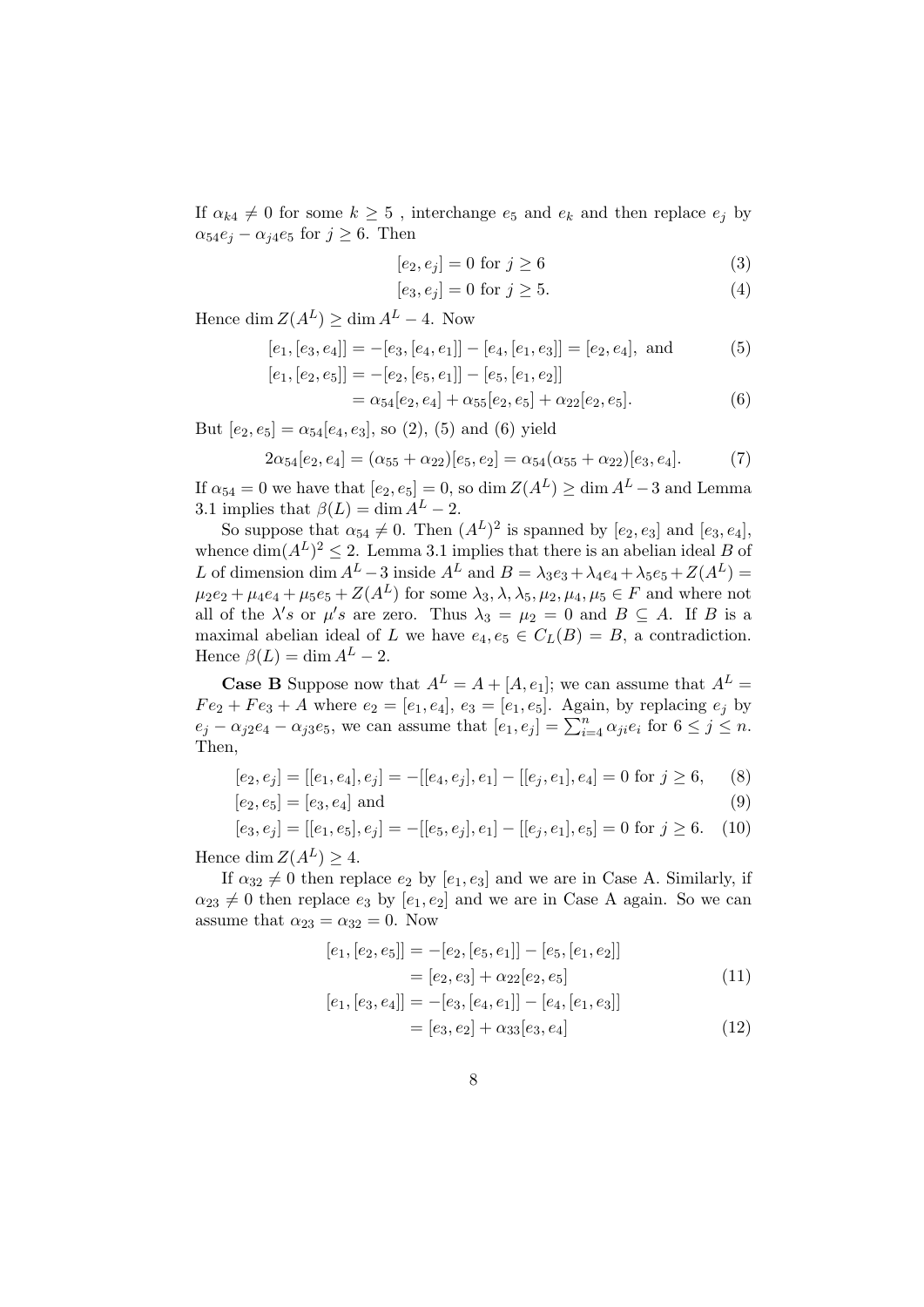If  $\alpha_{k4} \neq 0$  for some  $k \geq 5$ , interchange  $e_5$  and  $e_k$  and then replace  $e_j$  by  $\alpha_{54}e_j - \alpha_{j4}e_5$  for  $j \geq 6$ . Then

$$
[e_2, e_j] = 0 \text{ for } j \ge 6 \tag{3}
$$

$$
[e_3, e_j] = 0 \text{ for } j \ge 5. \tag{4}
$$

Hence dim  $Z(A^L) \ge \dim A^L - 4$ . Now

$$
[e_1, [e_3, e_4]] = -[e_3, [e_4, e_1]] - [e_4, [e_1, e_3]] = [e_2, e_4],
$$
 and  $[e_1, [e_2, e_5]] = -[e_2, [e_5, e_1]] - [e_5, [e_1, e_2]]$  (5)

$$
= \alpha_{54}[e_2, e_4] + \alpha_{55}[e_2, e_5] + \alpha_{22}[e_2, e_5]. \tag{6}
$$

But  $[e_2, e_5] = \alpha_{54}[e_4, e_3]$ , so (2), (5) and (6) yield

$$
2\alpha_{54}[e_2, e_4] = (\alpha_{55} + \alpha_{22})[e_5, e_2] = \alpha_{54}(\alpha_{55} + \alpha_{22})[e_3, e_4].
$$
 (7)

If  $\alpha_{54} = 0$  we have that  $[e_2, e_5] = 0$ , so  $\dim Z(A^L) \ge \dim A^L - 3$  and Lemma 3.1 implies that  $\beta(L) = \dim A^L - 2$ .

So suppose that  $\alpha_{54} \neq 0$ . Then  $(A^L)^2$  is spanned by  $[e_2, e_3]$  and  $[e_3, e_4]$ , whence  $\dim(A^L)^2 \leq 2$ . Lemma 3.1 implies that there is an abelian ideal B of L of dimension dim  $A^L - 3$  inside  $A^L$  and  $B = \lambda_3 e_3 + \lambda_4 e_4 + \lambda_5 e_5 + Z(A^L) =$  $\mu_2e_2 + \mu_4e_4 + \mu_5e_5 + Z(A^L)$  for some  $\lambda_3, \lambda, \lambda_5, \mu_2, \mu_4, \mu_5 \in F$  and where not all of the  $\lambda's$  or  $\mu's$  are zero. Thus  $\lambda_3 = \mu_2 = 0$  and  $B \subseteq A$ . If B is a maximal abelian ideal of L we have  $e_4, e_5 \in C_L(B) = B$ , a contradiction. Hence  $\beta(L) = \dim A^L - 2$ .

**Case B** Suppose now that  $A^L = A + [A, e_1]$ ; we can assume that  $A^L =$  $Fe<sub>2</sub> + Fe<sub>3</sub> + A$  where  $e<sub>2</sub> = [e<sub>1</sub>, e<sub>4</sub>], e<sub>3</sub> = [e<sub>1</sub>, e<sub>5</sub>].$  Again, by replacing  $e<sub>j</sub>$  by  $e_j - \alpha_{j2}e_4 - \alpha_{j3}e_5$ , we can assume that  $[e_1, e_j] = \sum_{i=4}^n \alpha_{ji}e_i$  for  $6 \leq j \leq n$ . Then,

$$
[e_2, e_j] = [[e_1, e_4], e_j] = -[[e_4, e_j], e_1] - [[e_j, e_1], e_4] = 0 \text{ for } j \ge 6,
$$
 (8)

$$
[e_2, e_5] = [e_3, e_4] \text{ and } (9)
$$

$$
[e_3, e_j] = [[e_1, e_5], e_j] = -[[e_5, e_j], e_1] - [[e_j, e_1], e_5] = 0 \text{ for } j \ge 6. \tag{10}
$$

Hence dim  $Z(A^L) \geq 4$ .

If  $\alpha_{32} \neq 0$  then replace  $e_2$  by  $[e_1, e_3]$  and we are in Case A. Similarly, if  $\alpha_{23} \neq 0$  then replace  $e_3$  by  $[e_1, e_2]$  and we are in Case A again. So we can assume that  $\alpha_{23} = \alpha_{32} = 0$ . Now

$$
[e_1, [e_2, e_5]] = -[e_2, [e_5, e_1]] - [e_5, [e_1, e_2]]
$$
  
= 
$$
[e_2, e_3] + \alpha_{22} [e_2, e_5]
$$
 (11)

$$
[e_1, [e_3, e_4]] = -[e_3, [e_4, e_1]] - [e_4, [e_1, e_3]]
$$
  
= 
$$
[e_3, e_2] + \alpha_{33}[e_3, e_4]
$$
 (12)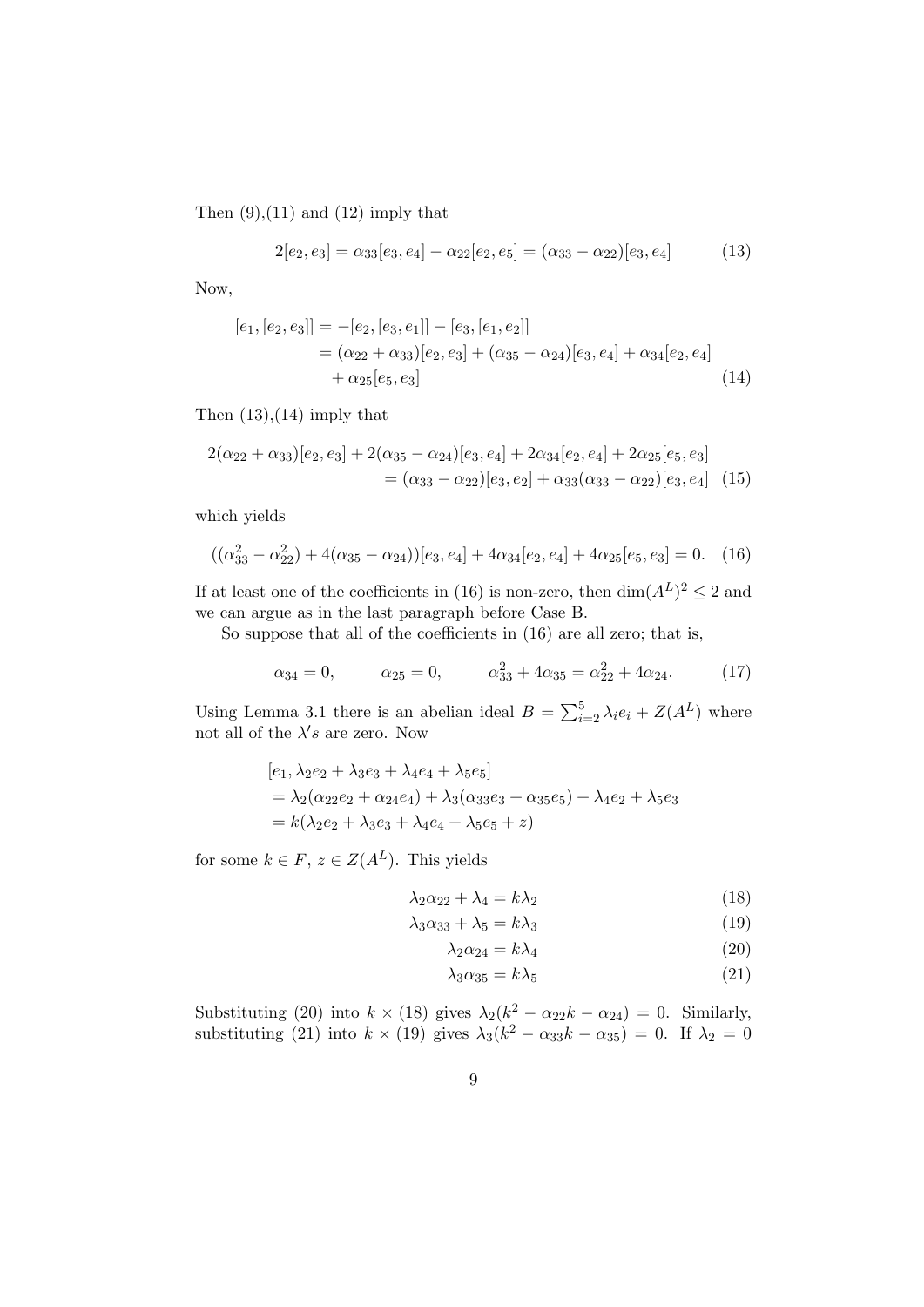Then  $(9)$ ,  $(11)$  and  $(12)$  imply that

$$
2[e_2, e_3] = \alpha_{33}[e_3, e_4] - \alpha_{22}[e_2, e_5] = (\alpha_{33} - \alpha_{22})[e_3, e_4]
$$
(13)

Now,

$$
[e_1,[e_2,e_3]] = -[e_2,[e_3,e_1]] - [e_3,[e_1,e_2]]
$$
  
=  $(\alpha_{22} + \alpha_{33})[e_2,e_3] + (\alpha_{35} - \alpha_{24})[e_3,e_4] + \alpha_{34}[e_2,e_4]$   
+  $\alpha_{25}[e_5,e_3]$  (14)

Then  $(13)$ , $(14)$  imply that

$$
2(\alpha_{22} + \alpha_{33})[e_2, e_3] + 2(\alpha_{35} - \alpha_{24})[e_3, e_4] + 2\alpha_{34}[e_2, e_4] + 2\alpha_{25}[e_5, e_3]
$$
  
=  $(\alpha_{33} - \alpha_{22})[e_3, e_2] + \alpha_{33}(\alpha_{33} - \alpha_{22})[e_3, e_4]$  (15)

which yields

$$
((\alpha_{33}^2 - \alpha_{22}^2) + 4(\alpha_{35} - \alpha_{24}))[e_3, e_4] + 4\alpha_{34}[e_2, e_4] + 4\alpha_{25}[e_5, e_3] = 0. \quad (16)
$$

If at least one of the coefficients in (16) is non-zero, then  $\dim(A^L)^2 \leq 2$  and we can argue as in the last paragraph before Case B.

So suppose that all of the coefficients in (16) are all zero; that is,

$$
\alpha_{34} = 0, \qquad \alpha_{25} = 0, \qquad \alpha_{33}^2 + 4\alpha_{35} = \alpha_{22}^2 + 4\alpha_{24}.
$$
 (17)

Using Lemma 3.1 there is an abelian ideal  $B = \sum_{i=2}^{5} \lambda_i e_i + Z(A^L)$  where not all of the  $\lambda's$  are zero. Now

$$
[e_1, \lambda_2 e_2 + \lambda_3 e_3 + \lambda_4 e_4 + \lambda_5 e_5]
$$
  
=  $\lambda_2 (\alpha_{22} e_2 + \alpha_{24} e_4) + \lambda_3 (\alpha_{33} e_3 + \alpha_{35} e_5) + \lambda_4 e_2 + \lambda_5 e_3$   
=  $k(\lambda_2 e_2 + \lambda_3 e_3 + \lambda_4 e_4 + \lambda_5 e_5 + z)$ 

for some  $k \in F$ ,  $z \in Z(A^L)$ . This yields

$$
\lambda_2 \alpha_{22} + \lambda_4 = k \lambda_2 \tag{18}
$$

$$
\lambda_3 \alpha_{33} + \lambda_5 = k \lambda_3 \tag{19}
$$

$$
\lambda_2 \alpha_{24} = k \lambda_4 \tag{20}
$$

$$
\lambda_3 \alpha_{35} = k \lambda_5 \tag{21}
$$

Substituting (20) into  $k \times (18)$  gives  $\lambda_2(k^2 - \alpha_{22}k - \alpha_{24}) = 0$ . Similarly, substituting (21) into  $k \times (19)$  gives  $\lambda_3(k^2 - \alpha_{33}k - \alpha_{35}) = 0$ . If  $\lambda_2 = 0$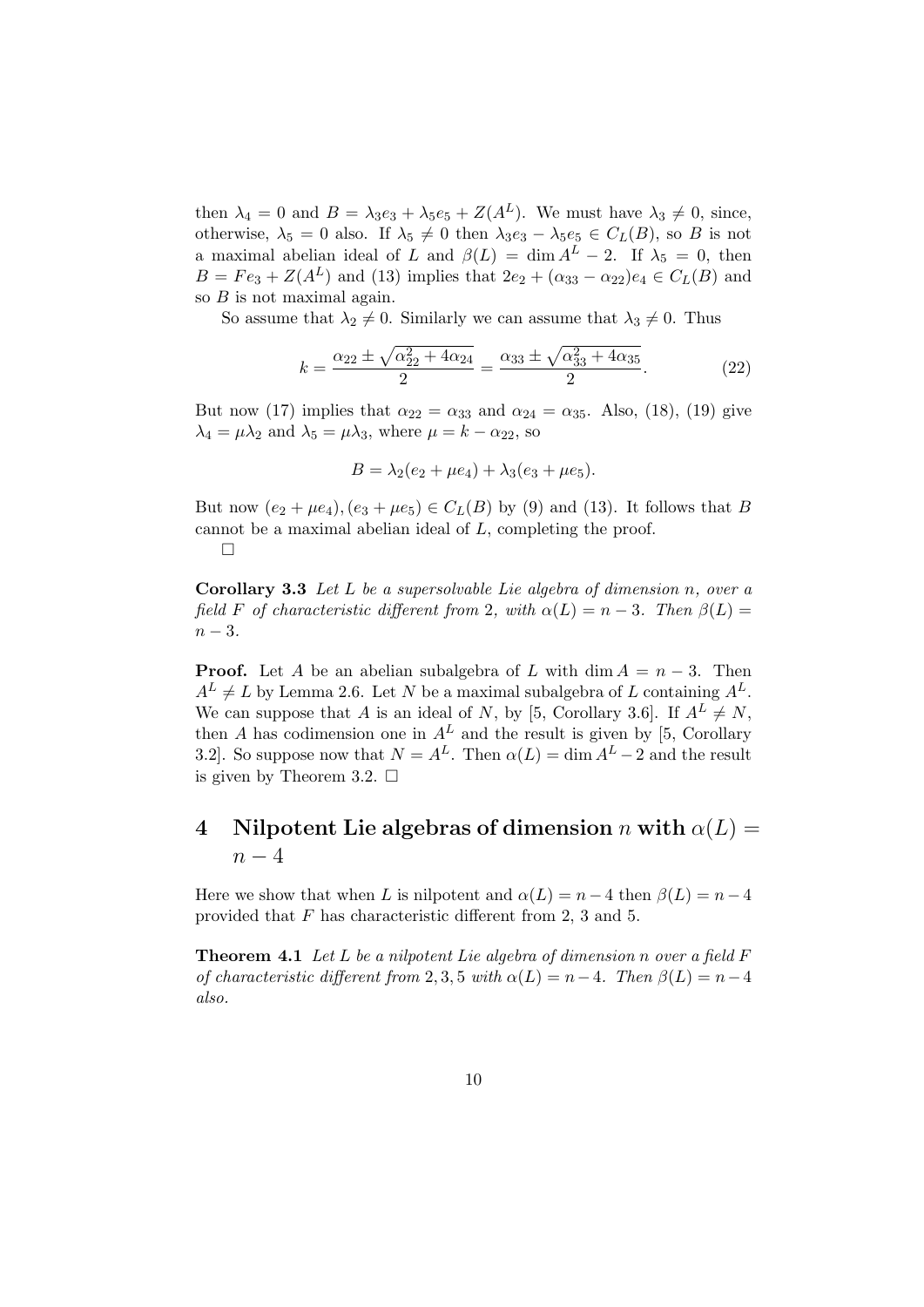then  $\lambda_4 = 0$  and  $B = \lambda_3 e_3 + \lambda_5 e_5 + Z(A^L)$ . We must have  $\lambda_3 \neq 0$ , since, otherwise,  $\lambda_5 = 0$  also. If  $\lambda_5 \neq 0$  then  $\lambda_3e_3 - \lambda_5e_5 \in C_L(B)$ , so B is not a maximal abelian ideal of L and  $\beta(L) = \dim A^L - 2$ . If  $\lambda_5 = 0$ , then  $B = Fe_3 + Z(A^L)$  and (13) implies that  $2e_2 + (\alpha_{33} - \alpha_{22})e_4 \in C_L(B)$  and so  $B$  is not maximal again.

So assume that  $\lambda_2 \neq 0$ . Similarly we can assume that  $\lambda_3 \neq 0$ . Thus

$$
k = \frac{\alpha_{22} \pm \sqrt{\alpha_{22}^2 + 4\alpha_{24}}}{2} = \frac{\alpha_{33} \pm \sqrt{\alpha_{33}^2 + 4\alpha_{35}}}{2}.
$$
 (22)

But now (17) implies that  $\alpha_{22} = \alpha_{33}$  and  $\alpha_{24} = \alpha_{35}$ . Also, (18), (19) give  $\lambda_4 = \mu \lambda_2$  and  $\lambda_5 = \mu \lambda_3$ , where  $\mu = k - \alpha_{22}$ , so

$$
B = \lambda_2 (e_2 + \mu e_4) + \lambda_3 (e_3 + \mu e_5).
$$

But now  $(e_2 + \mu e_4)$ ,  $(e_3 + \mu e_5) \in C_L(B)$  by (9) and (13). It follows that B cannot be a maximal abelian ideal of L, completing the proof.  $\Box$ 

Corollary 3.3 Let L be a supersolvable Lie algebra of dimension n, over a field F of characteristic different from 2, with  $\alpha(L) = n - 3$ . Then  $\beta(L) =$  $n-3$ .

**Proof.** Let A be an abelian subalgebra of L with dim  $A = n - 3$ . Then  $A<sup>L</sup> \neq L$  by Lemma 2.6. Let N be a maximal subalgebra of L containing  $A<sup>L</sup>$ . We can suppose that A is an ideal of N, by [5, Corollary 3.6]. If  $A^L \neq N$ , then A has codimension one in  $A<sup>L</sup>$  and the result is given by [5, Corollary 3.2]. So suppose now that  $N = A^L$ . Then  $\alpha(L) = \dim A^L - 2$  and the result is given by Theorem 3.2.  $\Box$ 

# 4 Nilpotent Lie algebras of dimension n with  $\alpha(L) =$  $n-4$

Here we show that when L is nilpotent and  $\alpha(L) = n - 4$  then  $\beta(L) = n - 4$ provided that F has characteristic different from 2, 3 and 5.

**Theorem 4.1** Let L be a nilpotent Lie algebra of dimension n over a field  $F$ of characteristic different from 2, 3, 5 with  $\alpha(L) = n-4$ . Then  $\beta(L) = n-4$ also.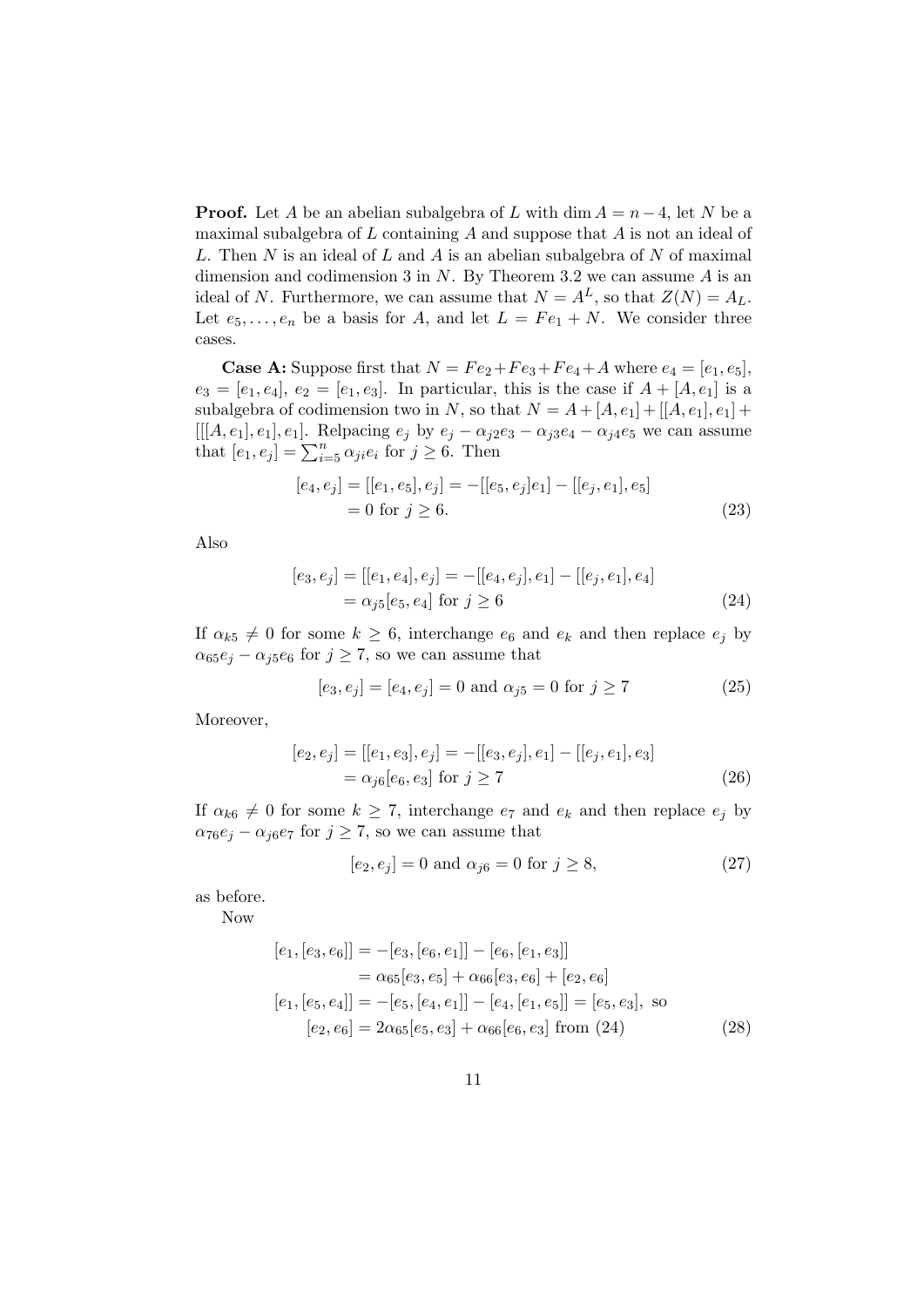**Proof.** Let A be an abelian subalgebra of L with dim  $A = n-4$ , let N be a maximal subalgebra of  $L$  containing  $A$  and suppose that  $A$  is not an ideal of L. Then N is an ideal of L and A is an abelian subalgebra of N of maximal dimension and codimension 3 in  $N$ . By Theorem 3.2 we can assume  $A$  is an ideal of N. Furthermore, we can assume that  $N = A<sup>L</sup>$ , so that  $Z(N) = A<sub>L</sub>$ . Let  $e_5, \ldots, e_n$  be a basis for A, and let  $L = Fe_1 + N$ . We consider three cases.

**Case A:** Suppose first that  $N = Fe_2 + Fe_3 + Fe_4 + A$  where  $e_4 = [e_1, e_5]$ ,  $e_3 = [e_1, e_4], e_2 = [e_1, e_3].$  In particular, this is the case if  $A + [A, e_1]$  is a subalgebra of codimension two in N, so that  $N = A + [A, e_1] + [[A, e_1], e_1] +$ [[[A, e<sub>1</sub>], e<sub>1</sub>]. Relpacing  $e_j$  by  $e_j - \alpha_{j2}e_3 - \alpha_{j3}e_4 - \alpha_{j4}e_5$  we can assume that  $[e_1, e_j] = \sum_{i=5}^n \alpha_{ji} e_i$  for  $j \ge 6$ . Then

$$
[e_4, e_j] = [[e_1, e_5], e_j] = -[[e_5, e_j]e_1] - [[e_j, e_1], e_5]
$$
  
= 0 for  $j \ge 6$ . (23)

Also

$$
[e_3, e_j] = [[e_1, e_4], e_j] = -[[e_4, e_j], e_1] - [[e_j, e_1], e_4]
$$
  
=  $\alpha_{j5}[e_5, e_4]$  for  $j \ge 6$  (24)

If  $\alpha_{k5} \neq 0$  for some  $k \geq 6$ , interchange  $e_6$  and  $e_k$  and then replace  $e_j$  by  $\alpha_{65}e_j - \alpha_{j5}e_6$  for  $j \geq 7$ , so we can assume that

$$
[e_3, e_j] = [e_4, e_j] = 0
$$
 and  $\alpha_{j5} = 0$  for  $j \ge 7$  (25)

Moreover,

$$
[e_2, e_j] = [[e_1, e_3], e_j] = -[[e_3, e_j], e_1] - [[e_j, e_1], e_3]
$$
  
=  $\alpha_{j6}[e_6, e_3]$  for  $j \ge 7$  (26)

If  $\alpha_{k6} \neq 0$  for some  $k \geq 7$ , interchange  $e_7$  and  $e_k$  and then replace  $e_j$  by  $\alpha_{76}e_j - \alpha_{j6}e_7$  for  $j \geq 7$ , so we can assume that

$$
[e_2, e_j] = 0
$$
 and  $\alpha_{j6} = 0$  for  $j \ge 8$ , (27)

as before.

Now

$$
[e_1, [e_3, e_6]] = -[e_3, [e_6, e_1]] - [e_6, [e_1, e_3]]
$$
  
\n
$$
= \alpha_{65}[e_3, e_5] + \alpha_{66}[e_3, e_6] + [e_2, e_6]
$$
  
\n
$$
[e_1, [e_5, e_4]] = -[e_5, [e_4, e_1]] - [e_4, [e_1, e_5]] = [e_5, e_3],
$$
 so  
\n
$$
[e_2, e_6] = 2\alpha_{65}[e_5, e_3] + \alpha_{66}[e_6, e_3] \text{ from (24)}
$$
 (28)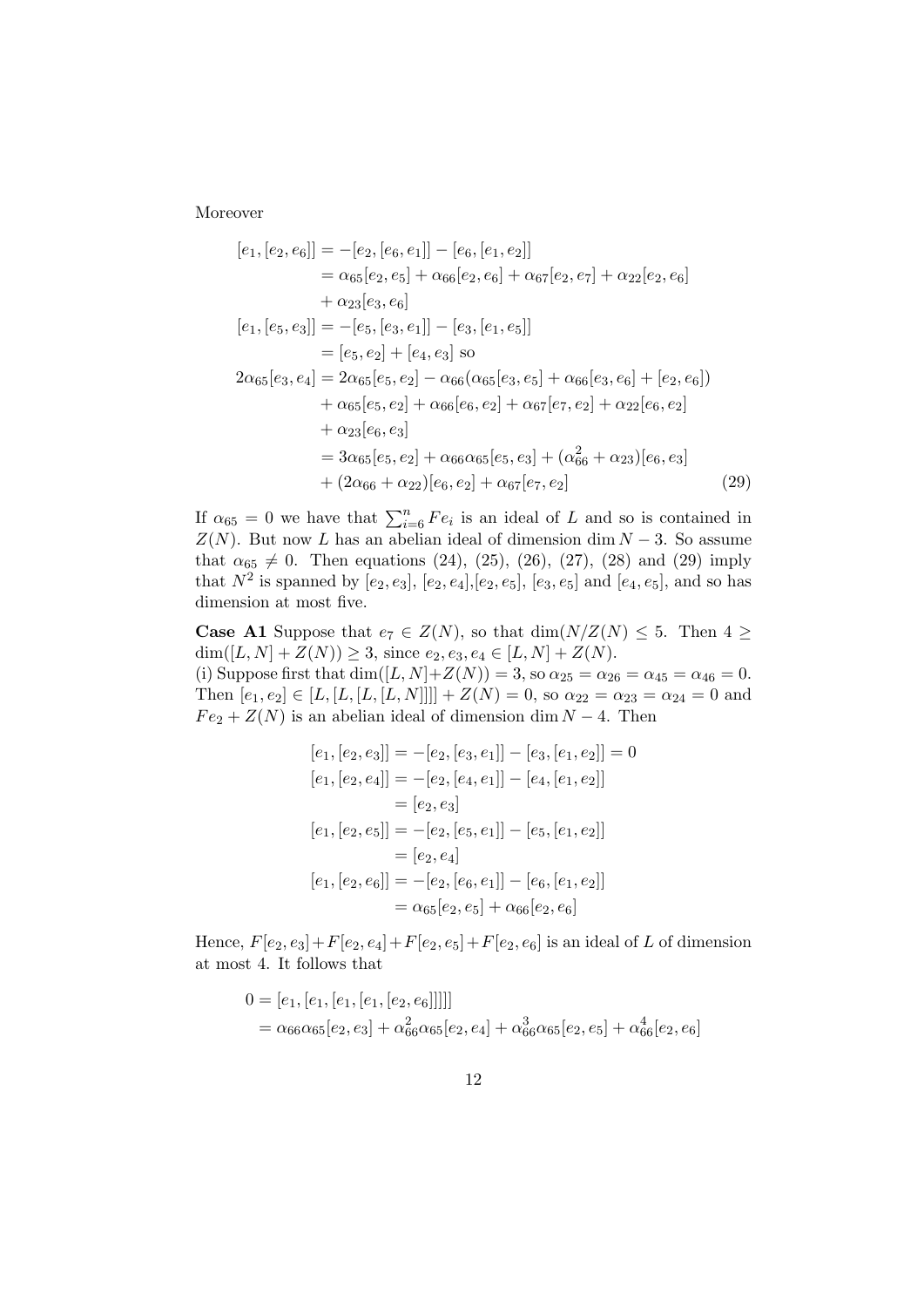Moreover

$$
[e_1, [e_2, e_6]] = -[e_2, [e_6, e_1]] - [e_6, [e_1, e_2]]
$$
  
\n
$$
= \alpha_{65}[e_2, e_5] + \alpha_{66}[e_2, e_6] + \alpha_{67}[e_2, e_7] + \alpha_{22}[e_2, e_6]
$$
  
\n
$$
+ \alpha_{23}[e_3, e_6]
$$
  
\n
$$
[e_1, [e_5, e_3]] = -[e_5, [e_3, e_1]] - [e_3, [e_1, e_5]]
$$
  
\n
$$
= [e_5, e_2] + [e_4, e_3] \text{ so}
$$
  
\n
$$
2\alpha_{65}[e_3, e_4] = 2\alpha_{65}[e_5, e_2] - \alpha_{66}(\alpha_{65}[e_3, e_5] + \alpha_{66}[e_3, e_6] + [e_2, e_6])
$$
  
\n
$$
+ \alpha_{65}[e_5, e_2] + \alpha_{66}[e_6, e_2] + \alpha_{67}[e_7, e_2] + \alpha_{22}[e_6, e_2]
$$
  
\n
$$
+ \alpha_{23}[e_6, e_3]
$$
  
\n
$$
= 3\alpha_{65}[e_5, e_2] + \alpha_{66}\alpha_{65}[e_5, e_3] + (\alpha_{66}^2 + \alpha_{23})[e_6, e_3]
$$
  
\n
$$
+ (2\alpha_{66} + \alpha_{22})[e_6, e_2] + \alpha_{67}[e_7, e_2]
$$
 (29)

If  $\alpha_{65} = 0$  we have that  $\sum_{i=6}^{n} Fe_i$  is an ideal of L and so is contained in  $Z(N)$ . But now L has an abelian ideal of dimension dim  $N-3$ . So assume that  $\alpha_{65} \neq 0$ . Then equations (24), (25), (26), (27), (28) and (29) imply that  $N^2$  is spanned by  $[e_2, e_3]$ ,  $[e_2, e_4]$ ,  $[e_2, e_5]$ ,  $[e_3, e_5]$  and  $[e_4, e_5]$ , and so has dimension at most five.

**Case A1** Suppose that  $e_7 \in Z(N)$ , so that  $\dim(N/Z(N) \leq 5$ . Then  $4 \geq$  $\dim([L, N] + Z(N)) \geq 3$ , since  $e_2, e_3, e_4 \in [L, N] + Z(N)$ . (i) Suppose first that dim( $[L, N] + Z(N) = 3$ , so  $\alpha_{25} = \alpha_{26} = \alpha_{45} = \alpha_{46} = 0$ . Then  $[e_1, e_2] \in [L, [L, [L, [L, N]]]] + Z(N) = 0$ , so  $\alpha_{22} = \alpha_{23} = \alpha_{24} = 0$  and  $Fe<sub>2</sub> + Z(N)$  is an abelian ideal of dimension dim  $N - 4$ . Then

$$
[e_1, [e_2, e_3]] = -[e_2, [e_3, e_1]] - [e_3, [e_1, e_2]] = 0
$$
  
\n
$$
[e_1, [e_2, e_4]] = -[e_2, [e_4, e_1]] - [e_4, [e_1, e_2]]
$$
  
\n
$$
= [e_2, e_3]
$$
  
\n
$$
[e_1, [e_2, e_5]] = -[e_2, [e_5, e_1]] - [e_5, [e_1, e_2]]
$$
  
\n
$$
= [e_2, e_4]
$$
  
\n
$$
[e_1, [e_2, e_6]] = -[e_2, [e_6, e_1]] - [e_6, [e_1, e_2]]
$$
  
\n
$$
= \alpha_{65}[e_2, e_5] + \alpha_{66}[e_2, e_6]
$$

Hence,  $F[e_2, e_3] + F[e_2, e_4] + F[e_2, e_5] + F[e_2, e_6]$  is an ideal of L of dimension at most 4. It follows that

$$
0 = [e1, [e1, [e1, [e1, [e2, e6]]]]]
$$
  
=  $\alpha_{66}\alpha_{65}[e_2, e_3] + \alpha_{66}^2\alpha_{65}[e_2, e_4] + \alpha_{66}^3\alpha_{65}[e_2, e_5] + \alpha_{66}^4[e_2, e_6]$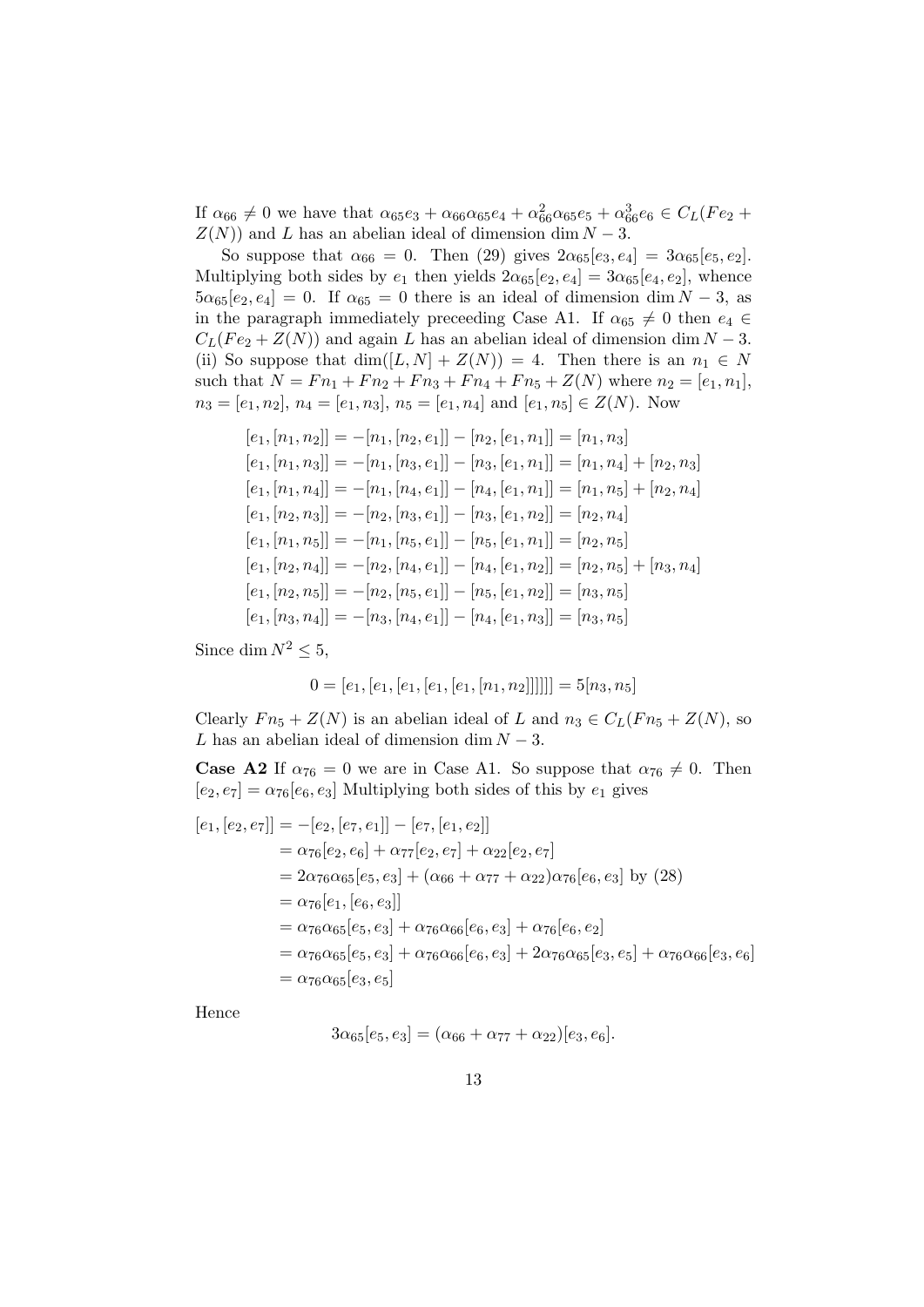If  $\alpha_{66} \neq 0$  we have that  $\alpha_{65}e_3 + \alpha_{66}\alpha_{65}e_4 + \alpha_{66}^2\alpha_{65}e_5 + \alpha_{66}^3e_6 \in C_L(Fe_2 +$  $Z(N)$ ) and L has an abelian ideal of dimension dim  $N-3$ .

So suppose that  $\alpha_{66} = 0$ . Then (29) gives  $2\alpha_{65}[e_3, e_4] = 3\alpha_{65}[e_5, e_2]$ . Multiplying both sides by  $e_1$  then yields  $2\alpha_{65}[e_2, e_4] = 3\alpha_{65}[e_4, e_2]$ , whence  $5\alpha_{65}[e_2, e_4] = 0$ . If  $\alpha_{65} = 0$  there is an ideal of dimension dim  $N-3$ , as in the paragraph immediately preceeding Case A1. If  $\alpha_{65} \neq 0$  then  $e_4 \in$  $C_L(Fe_2 + Z(N))$  and again L has an abelian ideal of dimension dim  $N - 3$ . (ii) So suppose that  $\dim([L, N] + Z(N)) = 4$ . Then there is an  $n_1 \in N$ such that  $N = Fn_1 + Fn_2 + Fn_3 + Fn_4 + Fn_5 + Z(N)$  where  $n_2 = [e_1, n_1]$ ,  $n_3 = [e_1, n_2], n_4 = [e_1, n_3], n_5 = [e_1, n_4]$  and  $[e_1, n_5] \in Z(N)$ . Now

$$
[e_1, [n_1, n_2]] = -[n_1, [n_2, e_1]] - [n_2, [e_1, n_1]] = [n_1, n_3]
$$
  
\n
$$
[e_1, [n_1, n_3]] = -[n_1, [n_3, e_1]] - [n_3, [e_1, n_1]] = [n_1, n_4] + [n_2, n_3]
$$
  
\n
$$
[e_1, [n_1, n_4]] = -[n_1, [n_4, e_1]] - [n_4, [e_1, n_1]] = [n_1, n_5] + [n_2, n_4]
$$
  
\n
$$
[e_1, [n_2, n_3]] = -[n_2, [n_3, e_1]] - [n_3, [e_1, n_2]] = [n_2, n_4]
$$
  
\n
$$
[e_1, [n_1, n_5]] = -[n_1, [n_5, e_1]] - [n_5, [e_1, n_1]] = [n_2, n_5] + [n_3, n_4]
$$
  
\n
$$
[e_1, [n_2, n_5]] = -[n_2, [n_4, e_1]] - [n_5, [e_1, n_2]] = [n_3, n_5]
$$
  
\n
$$
[e_1, [n_3, n_4]] = -[n_3, [n_4, e_1]] - [n_4, [e_1, n_3]] = [n_3, n_5]
$$

Since dim  $N^2 \leq 5$ ,

$$
0 = [e_1, [e_1, [e_1, [e_1, [e_1, [n_1, n_2]]]]]] = 5[n_3, n_5]
$$

Clearly  $Fn_5 + Z(N)$  is an abelian ideal of L and  $n_3 \in C_L(Fn_5 + Z(N))$ , so L has an abelian ideal of dimension dim  $N-3$ .

**Case A2** If  $\alpha_{76} = 0$  we are in Case A1. So suppose that  $\alpha_{76} \neq 0$ . Then  $[e_2, e_7] = \alpha_{76}[e_6, e_3]$  Multiplying both sides of this by  $e_1$  gives

$$
[e_1, [e_2, e_7]] = -[e_2, [e_7, e_1]] - [e_7, [e_1, e_2]]
$$
  
\n
$$
= \alpha_{76}[e_2, e_6] + \alpha_{77}[e_2, e_7] + \alpha_{22}[e_2, e_7]
$$
  
\n
$$
= 2\alpha_{76}\alpha_{65}[e_5, e_3] + (\alpha_{66} + \alpha_{77} + \alpha_{22})\alpha_{76}[e_6, e_3] \text{ by (28)}
$$
  
\n
$$
= \alpha_{76}[e_1, [e_6, e_3]]
$$
  
\n
$$
= \alpha_{76}\alpha_{65}[e_5, e_3] + \alpha_{76}\alpha_{66}[e_6, e_3] + \alpha_{76}[e_6, e_2]
$$
  
\n
$$
= \alpha_{76}\alpha_{65}[e_5, e_3] + \alpha_{76}\alpha_{66}[e_6, e_3] + 2\alpha_{76}\alpha_{65}[e_3, e_5] + \alpha_{76}\alpha_{66}[e_3, e_6]
$$
  
\n
$$
= \alpha_{76}\alpha_{65}[e_3, e_5]
$$

Hence

$$
3\alpha_{65}[e_5,e_3] = (\alpha_{66} + \alpha_{77} + \alpha_{22})[e_3,e_6].
$$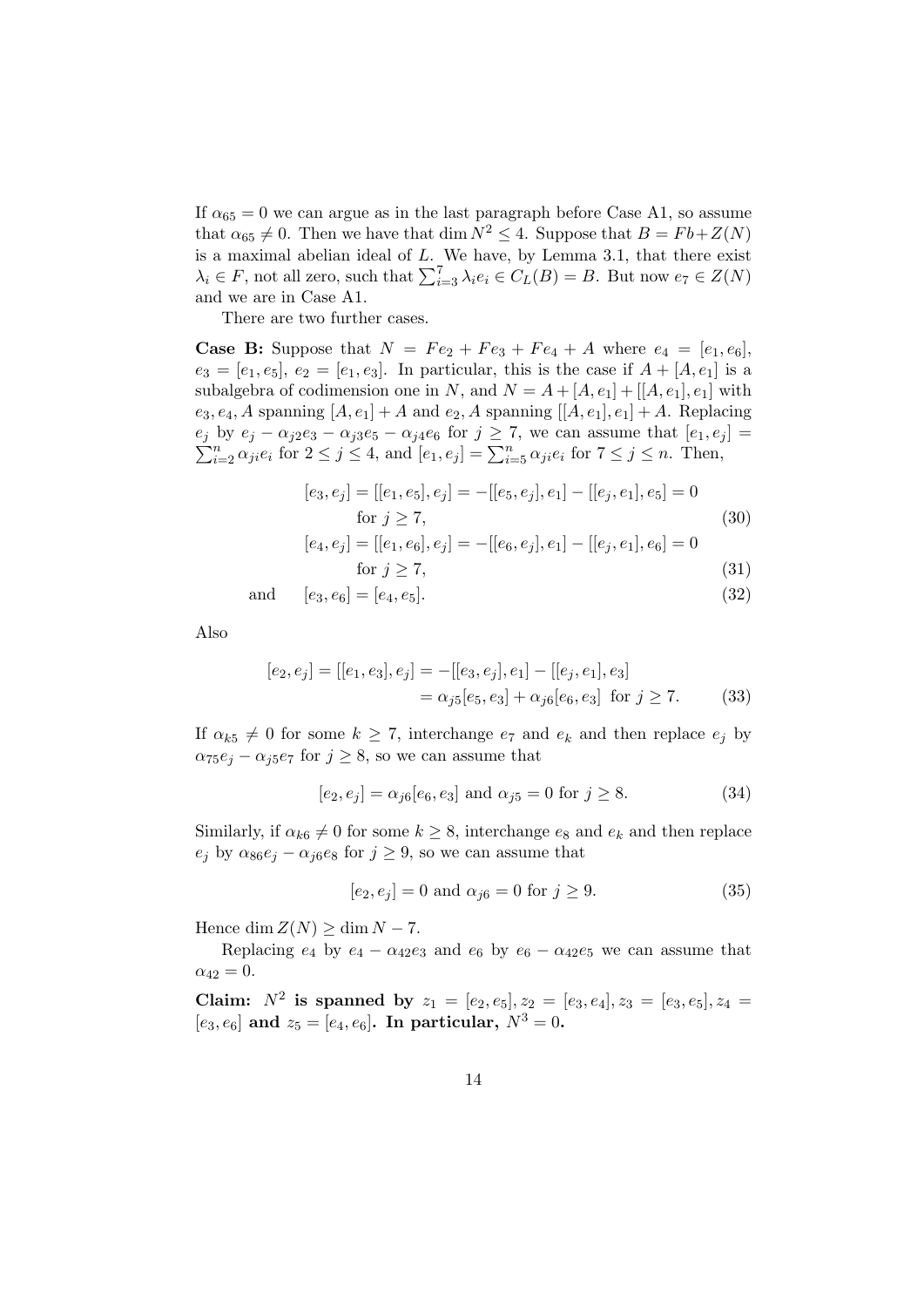If  $\alpha_{65} = 0$  we can argue as in the last paragraph before Case A1, so assume that  $\alpha_{65} \neq 0$ . Then we have that dim  $N^2 \leq 4$ . Suppose that  $B = Fb + Z(N)$ is a maximal abelian ideal of  $L$ . We have, by Lemma 3.1, that there exist  $\lambda_i \in F$ , not all zero, such that  $\sum_{i=3}^{7} \lambda_i e_i \in C_L(B) = B$ . But now  $e_7 \in Z(N)$ and we are in Case A1.

There are two further cases.

**Case B:** Suppose that  $N = Fe_2 + Fe_3 + Fe_4 + A$  where  $e_4 = [e_1, e_6]$ ,  $e_3 = [e_1, e_5], e_2 = [e_1, e_3].$  In particular, this is the case if  $A + [A, e_1]$  is a subalgebra of codimension one in N, and  $N = A + [A, e_1] + [[A, e_1], e_1]$  with  $e_3, e_4, A$  spanning  $[A, e_1] + A$  and  $e_2, A$  spanning  $[[A, e_1], e_1] + A$ . Replacing  $\sum$  $e_j$  by  $e_j - \alpha_{j2}e_3 - \alpha_{j3}e_5 - \alpha_{j4}e_6$  for  $j \ge 7$ , we can assume that  $[e_1, e_j] = \sum_{i=2}^n \alpha_{ji}e_i$  for  $2 \le j \le 4$ , and  $[e_1, e_j] = \sum_{i=5}^n \alpha_{ji}e_i$  for  $7 \le j \le n$ . Then,

$$
[e_3, e_j] = [[e_1, e_5], e_j] = -[[e_5, e_j], e_1] - [[e_j, e_1], e_5] = 0
$$
  
for  $j \ge 7$ , (30)

$$
[e_4, e_j] = [[e_1, e_6], e_j] = -[[e_6, e_j], e_1] - [[e_j, e_1], e_6] = 0
$$
  
for  $j \ge 7$ , (31)  
[e\_3, e\_2] = [e\_4, e\_7] (32)

$$
y \leq 1,\tag{82}
$$

and 
$$
[e_3, e_6] = [e_4, e_5].
$$
 (32)

Also

$$
[e_2, e_j] = [[e_1, e_3], e_j] = -[[e_3, e_j], e_1] - [[e_j, e_1], e_3]
$$
  
=  $\alpha_j s[e_5, e_3] + \alpha_j s[e_6, e_3]$  for  $j \ge 7$ . (33)

If  $\alpha_{k5} \neq 0$  for some  $k \geq 7$ , interchange  $e_7$  and  $e_k$  and then replace  $e_j$  by  $\alpha_{75}e_i - \alpha_{75}e_7$  for  $j \geq 8$ , so we can assume that

$$
[e_2, e_j] = \alpha_{j6}[e_6, e_3]
$$
 and  $\alpha_{j5} = 0$  for  $j \ge 8$ . (34)

Similarly, if  $\alpha_{k6} \neq 0$  for some  $k \geq 8$ , interchange  $e_8$  and  $e_k$  and then replace  $e_i$  by  $\alpha_{86}e_i - \alpha_{66}e_8$  for  $j \geq 9$ , so we can assume that

$$
[e_2, e_j] = 0
$$
 and  $\alpha_{j6} = 0$  for  $j \ge 9$ . (35)

Hence dim  $Z(N) > \dim N - 7$ .

Replacing  $e_4$  by  $e_4 - \alpha_{42}e_3$  and  $e_6$  by  $e_6 - \alpha_{42}e_5$  we can assume that  $\alpha_{42} = 0.$ 

Claim:  $N^2$  is spanned by  $z_1 = [e_2, e_5], z_2 = [e_3, e_4], z_3 = [e_3, e_5], z_4 =$  $[e_3, e_6]$  and  $z_5 = [e_4, e_6]$ . In particular,  $N^3 = 0$ .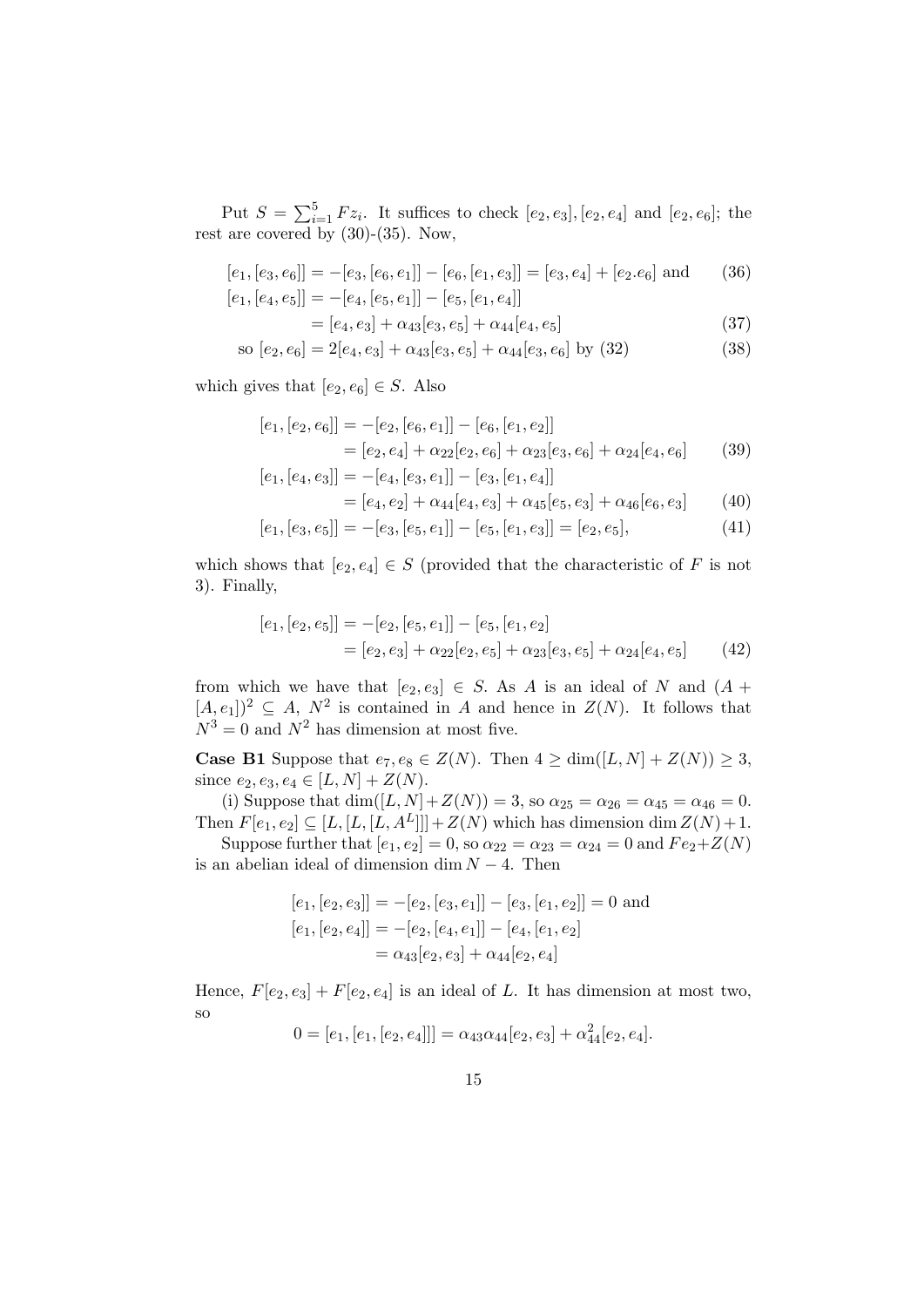Put  $S = \sum_{i=1}^{5} Fz_i$ . It suffices to check  $[e_2, e_3]$ ,  $[e_2, e_4]$  and  $[e_2, e_6]$ ; the rest are covered by  $(30)-(35)$ . Now,

$$
[e_1, [e_3, e_6]] = -[e_3, [e_6, e_1]] - [e_6, [e_1, e_3]] = [e_3, e_4] + [e_2. e_6]
$$
 and (36)  

$$
[e_1, [e_4, e_5]] = -[e_4, [e_5, e_1]] - [e_5, [e_1, e_4]]
$$

$$
= [e_4, e_3] + \alpha_{43}[e_3, e_5] + \alpha_{44}[e_4, e_5]
$$
\n(37)

so 
$$
[e_2, e_6] = 2[e_4, e_3] + \alpha_{43}[e_3, e_5] + \alpha_{44}[e_3, e_6]
$$
 by (32) (38)

which gives that  $[e_2, e_6] \in S$ . Also

$$
[e_1, [e_2, e_6]] = -[e_2, [e_6, e_1]] - [e_6, [e_1, e_2]]
$$
  

$$
= [e_2, e_4] + \alpha_{22}[e_2, e_6] + \alpha_{23}[e_3, e_6] + \alpha_{24}[e_4, e_6]
$$
(39)

$$
[e_1, [e_4, e_3]] = -[e_4, [e_3, e_1]] - [e_3, [e_1, e_4]]
$$
  
= 
$$
[e_4, e_2] + \alpha_{44}[e_4, e_3] + \alpha_{45}[e_5, e_3] + \alpha_{46}[e_6, e_3]
$$
(40)

$$
[e_1,[e_3,e_5]] = -[e_3,[e_5,e_1]] - [e_5,[e_1,e_3]] = [e_2,e_5],
$$
\n(41)

which shows that  $[e_2, e_4] \in S$  (provided that the characteristic of F is not  $3$ ). Finally,

$$
[e_1, [e_2, e_5]] = -[e_2, [e_5, e_1]] - [e_5, [e_1, e_2]
$$
  
= 
$$
[e_2, e_3] + \alpha_{22}[e_2, e_5] + \alpha_{23}[e_3, e_5] + \alpha_{24}[e_4, e_5]
$$
(42)

from which we have that  $[e_2, e_3] \in S$ . As A is an ideal of N and  $(A +$  $[A, e_1]^2 \subseteq A$ ,  $N^2$  is contained in A and hence in  $Z(N)$ . It follows that  $N^3 = 0$  and  $N^2$  has dimension at most five.

**Case B1** Suppose that  $e_7, e_8 \in Z(N)$ . Then  $4 \ge \dim([L, N] + Z(N)) \ge 3$ , since  $e_2, e_3, e_4 \in [L, N] + Z(N)$ .

(i) Suppose that dim([L, N] + Z(N)) = 3, so  $\alpha_{25} = \alpha_{26} = \alpha_{45} = \alpha_{46} = 0$ . Then  $F[e_1, e_2] \subseteq [L, [L, L, A^L]] + Z(N)$  which has dimension dim  $Z(N) + 1$ .

Suppose further that  $[e_1, e_2] = 0$ , so  $\alpha_{22} = \alpha_{23} = \alpha_{24} = 0$  and  $Fe_2 + Z(N)$ is an abelian ideal of dimension  $\dim N - 4$ . Then

$$
[e_1, [e_2, e_3]] = -[e_2, [e_3, e_1]] - [e_3, [e_1, e_2]] = 0 \text{ and}
$$
  

$$
[e_1, [e_2, e_4]] = -[e_2, [e_4, e_1]] - [e_4, [e_1, e_2]
$$
  

$$
= \alpha_{43}[e_2, e_3] + \alpha_{44}[e_2, e_4]
$$

Hence,  $F[e_2, e_3] + F[e_2, e_4]$  is an ideal of L. It has dimension at most two,  $SO$ 

$$
0 = [e_1, [e_1, [e_2, e_4]]] = \alpha_{43}\alpha_{44}[e_2, e_3] + \alpha_{44}^2[e_2, e_4].
$$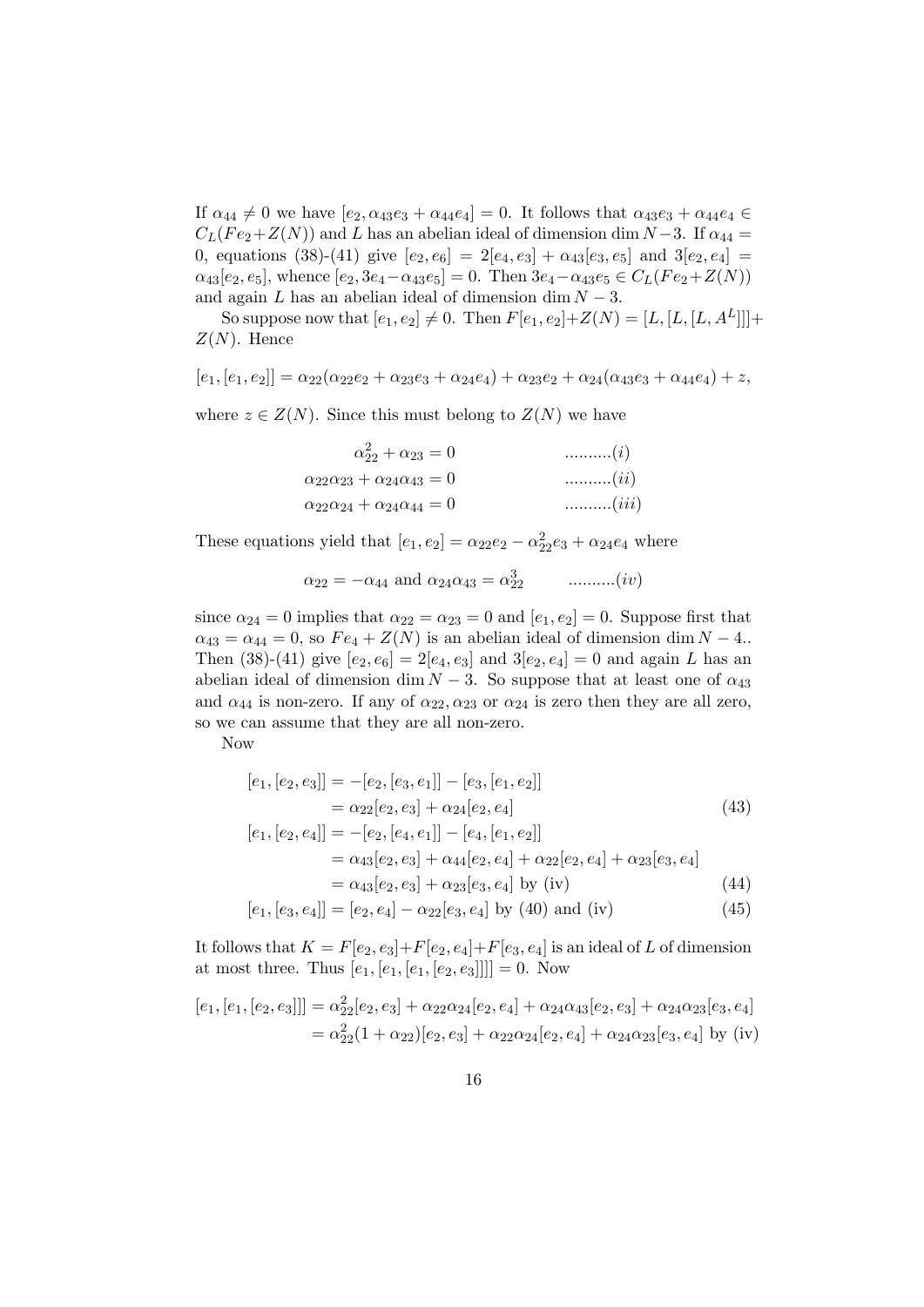If  $\alpha_{44} \neq 0$  we have  $[e_2, \alpha_{43}e_3 + \alpha_{44}e_4] = 0$ . It follows that  $\alpha_{43}e_3 + \alpha_{44}e_4 \in$  $C_L(Fe_2+Z(N))$  and L has an abelian ideal of dimension dim N – 3. If  $\alpha_{44} =$ 0, equations (38)-(41) give  $[e_2, e_6] = 2[e_4, e_3] + \alpha_{43}[e_3, e_5]$  and  $3[e_2, e_4] =$  $\alpha_{43}[e_2, e_5]$ , whence  $[e_2, 3e_4-\alpha_{43}e_5] = 0$ . Then  $3e_4-\alpha_{43}e_5 \in C_L(Fe_2+Z(N))$ and again L has an abelian ideal of dimension dim  $N - 3$ .

So suppose now that  $[e_1, e_2] \neq 0$ . Then  $F[e_1, e_2] + Z(N) = [L, [L, [L, A^L]]] +$  $Z(N)$ . Hence

$$
[e_1,[e_1,e_2]] = \alpha_{22}(\alpha_{22}e_2 + \alpha_{23}e_3 + \alpha_{24}e_4) + \alpha_{23}e_2 + \alpha_{24}(\alpha_{43}e_3 + \alpha_{44}e_4) + z,
$$

where  $z \in Z(N)$ . Since this must belong to  $Z(N)$  we have

| $\alpha_{22}^2 + \alpha_{23} = 0$                     | $\ldots \ldots \ldots (i)$   |
|-------------------------------------------------------|------------------------------|
| $\alpha_{22}\alpha_{23} + \alpha_{24}\alpha_{43} = 0$ | $\ldots \ldots \ldots (ii)$  |
| $\alpha_{22}\alpha_{24} + \alpha_{24}\alpha_{44} = 0$ | $\ldots \ldots \ldots (iii)$ |

These equations yield that  $[e_1, e_2] = \alpha_{22}e_2 - \alpha_{22}^2e_3 + \alpha_{24}e_4$  where

$$
\alpha_{22} = -\alpha_{44}
$$
 and  $\alpha_{24}\alpha_{43} = \alpha_{22}^3$  .........(*iv*)

since  $\alpha_{24} = 0$  implies that  $\alpha_{22} = \alpha_{23} = 0$  and  $[e_1, e_2] = 0$ . Suppose first that  $\alpha_{43} = \alpha_{44} = 0$ , so  $Fe_4 + Z(N)$  is an abelian ideal of dimension dim  $N - 4$ . Then (38)-(41) give  $[e_2, e_6] = 2[e_4, e_3]$  and  $3[e_2, e_4] = 0$  and again L has an abelian ideal of dimension dim  $N-3$ . So suppose that at least one of  $\alpha_{43}$ and  $\alpha_{44}$  is non-zero. If any of  $\alpha_{22}, \alpha_{23}$  or  $\alpha_{24}$  is zero then they are all zero, so we can assume that they are all non-zero.

Now

$$
[e_1, [e_2, e_3]] = -[e_2, [e_3, e_1]] - [e_3, [e_1, e_2]]
$$
  
\n
$$
= \alpha_{22}[e_2, e_3] + \alpha_{24}[e_2, e_4]
$$
  
\n
$$
[e_1, [e_2, e_4]] = -[e_2, [e_4, e_1]] - [e_4, [e_1, e_2]]
$$
\n(43)

$$
= \alpha_{43}[e_2, e_3] + \alpha_{44}[e_2, e_4] + \alpha_{22}[e_2, e_4] + \alpha_{23}[e_3, e_4]
$$

 $= \alpha_{43}[e_2, e_3] + \alpha_{23}[e_3, e_4]$  by (iv) (44)

$$
[e_1, [e_3, e_4]] = [e_2, e_4] - \alpha_{22}[e_3, e_4]
$$
 by (40) and (iv) (45)

It follows that  $K = F[e_2, e_3] + F[e_2, e_4] + F[e_3, e_4]$  is an ideal of L of dimension at most three. Thus  $[e_1, [e_1, [e_1, [e_2, e_3]]]] = 0$ . Now

$$
[e_1,[e_1,[e_2,e_3]]] = \alpha_{22}^2[e_2,e_3] + \alpha_{22}\alpha_{24}[e_2,e_4] + \alpha_{24}\alpha_{43}[e_2,e_3] + \alpha_{24}\alpha_{23}[e_3,e_4]
$$
  
=  $\alpha_{22}^2(1+\alpha_{22})[e_2,e_3] + \alpha_{22}\alpha_{24}[e_2,e_4] + \alpha_{24}\alpha_{23}[e_3,e_4]$  by (iv)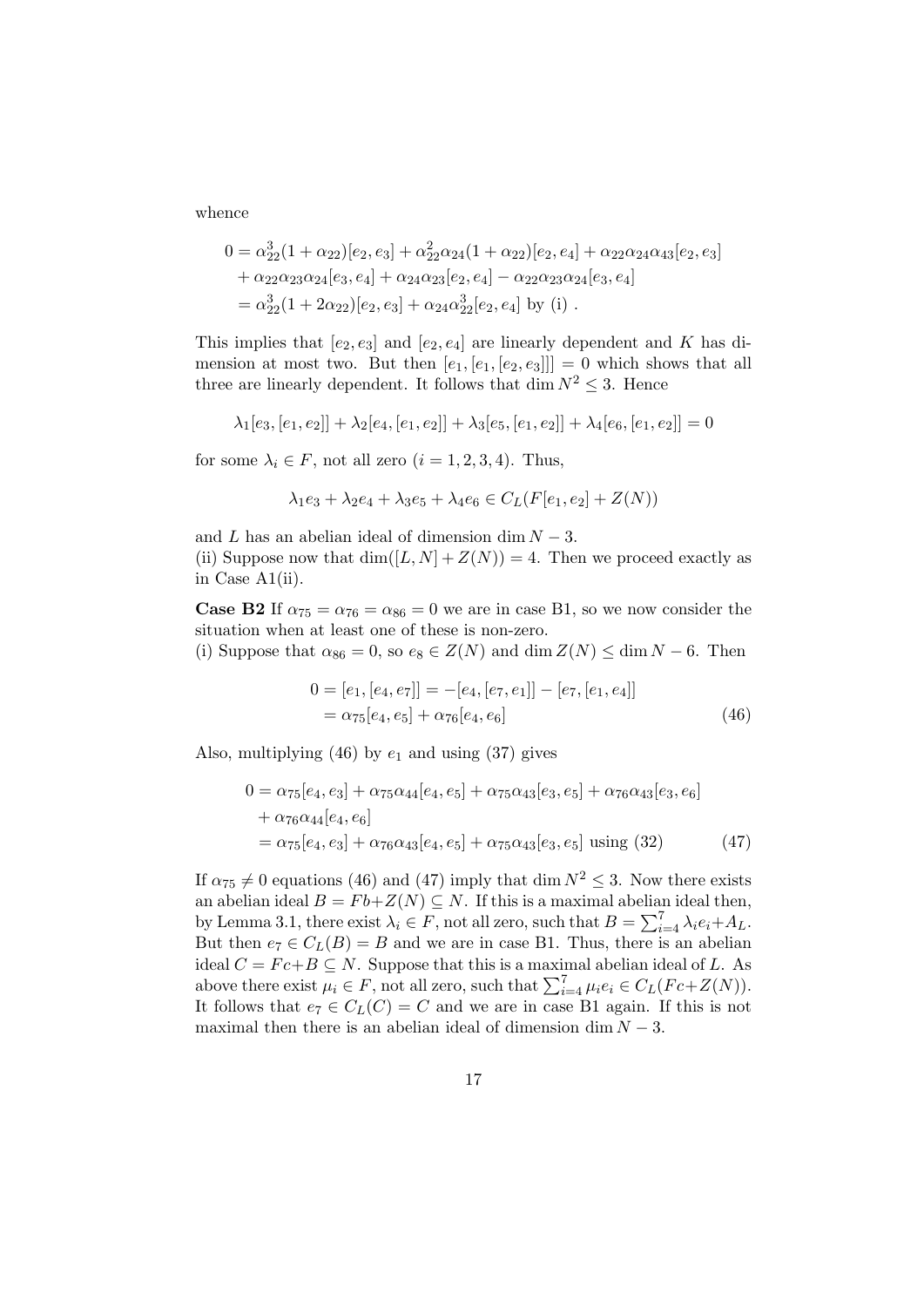whence

$$
0 = \alpha_{22}^3 (1 + \alpha_{22}) [e_2, e_3] + \alpha_{22}^2 \alpha_{24} (1 + \alpha_{22}) [e_2, e_4] + \alpha_{22} \alpha_{24} \alpha_{43} [e_2, e_3] + \alpha_{22} \alpha_{23} \alpha_{24} [e_3, e_4] + \alpha_{24} \alpha_{23} [e_2, e_4] - \alpha_{22} \alpha_{23} \alpha_{24} [e_3, e_4] = \alpha_{22}^3 (1 + 2 \alpha_{22}) [e_2, e_3] + \alpha_{24} \alpha_{22}^3 [e_2, e_4] \text{ by (i)}.
$$

This implies that  $[e_2, e_3]$  and  $[e_2, e_4]$  are linearly dependent and K has dimension at most two. But then  $[e_1, [e_1, [e_2, e_3]]] = 0$  which shows that all three are linearly dependent. It follows that dim  $N^2 \leq 3$ . Hence

$$
\lambda_1[e_3,[e_1,e_2]]+\lambda_2[e_4,[e_1,e_2]]+\lambda_3[e_5,[e_1,e_2]]+\lambda_4[e_6,[e_1,e_2]]=0
$$

for some  $\lambda_i \in F$ , not all zero  $(i = 1, 2, 3, 4)$ . Thus,

$$
\lambda_1 e_3 + \lambda_2 e_4 + \lambda_3 e_5 + \lambda_4 e_6 \in C_L(F[e_1, e_2] + Z(N))
$$

and  $L$  has an abelian ideal of dimension dim  $N-3$ .

(ii) Suppose now that  $\dim([L, N] + Z(N)) = 4$ . Then we proceed exactly as in Case A1(ii).

**Case B2** If  $\alpha_{75} = \alpha_{76} = \alpha_{86} = 0$  we are in case B1, so we now consider the situation when at least one of these is non-zero.

(i) Suppose that  $\alpha_{86} = 0$ , so  $e_8 \in Z(N)$  and dim  $Z(N) \leq \dim N - 6$ . Then

$$
0 = [e1, [e4, e7]] = -[e4, [e7, e1]] - [e7, [e1, e4]]= \alpha_{75}[e4, e5] + \alpha_{76}[e4, e6] (46)
$$

Also, multiplying  $(46)$  by  $e_1$  and using  $(37)$  gives

$$
0 = \alpha_{75}[e_4, e_3] + \alpha_{75}\alpha_{44}[e_4, e_5] + \alpha_{75}\alpha_{43}[e_3, e_5] + \alpha_{76}\alpha_{43}[e_3, e_6]
$$
  
+  $\alpha_{76}\alpha_{44}[e_4, e_6]$   
=  $\alpha_{75}[e_4, e_3] + \alpha_{76}\alpha_{43}[e_4, e_5] + \alpha_{75}\alpha_{43}[e_3, e_5]$  using (32) (47)

If  $\alpha_{75} \neq 0$  equations (46) and (47) imply that dim  $N^2 \leq 3$ . Now there exists an abelian ideal  $B = Fb + Z(N) \subseteq N$ . If this is a maximal abelian ideal then, by Lemma 3.1, there exist  $\lambda_i \in F$ , not all zero, such that  $B = \sum_{i=4}^{7} \lambda_i e_i + A_L$ . But then  $e_7 \in C_L(B) = B$  and we are in case B1. Thus, there is an abelian ideal  $C = Fc+B \subseteq N$ . Suppose that this is a maximal abelian ideal of L. As above there exist  $\mu_i \in F$ , not all zero, such that  $\sum_{i=4}^{7} \mu_i e_i \in C_L(Fc+Z(N))$ . It follows that  $e_7 \in C_L(C) = C$  and we are in case B1 again. If this is not maximal then there is an abelian ideal of dimension dim  $N - 3$ .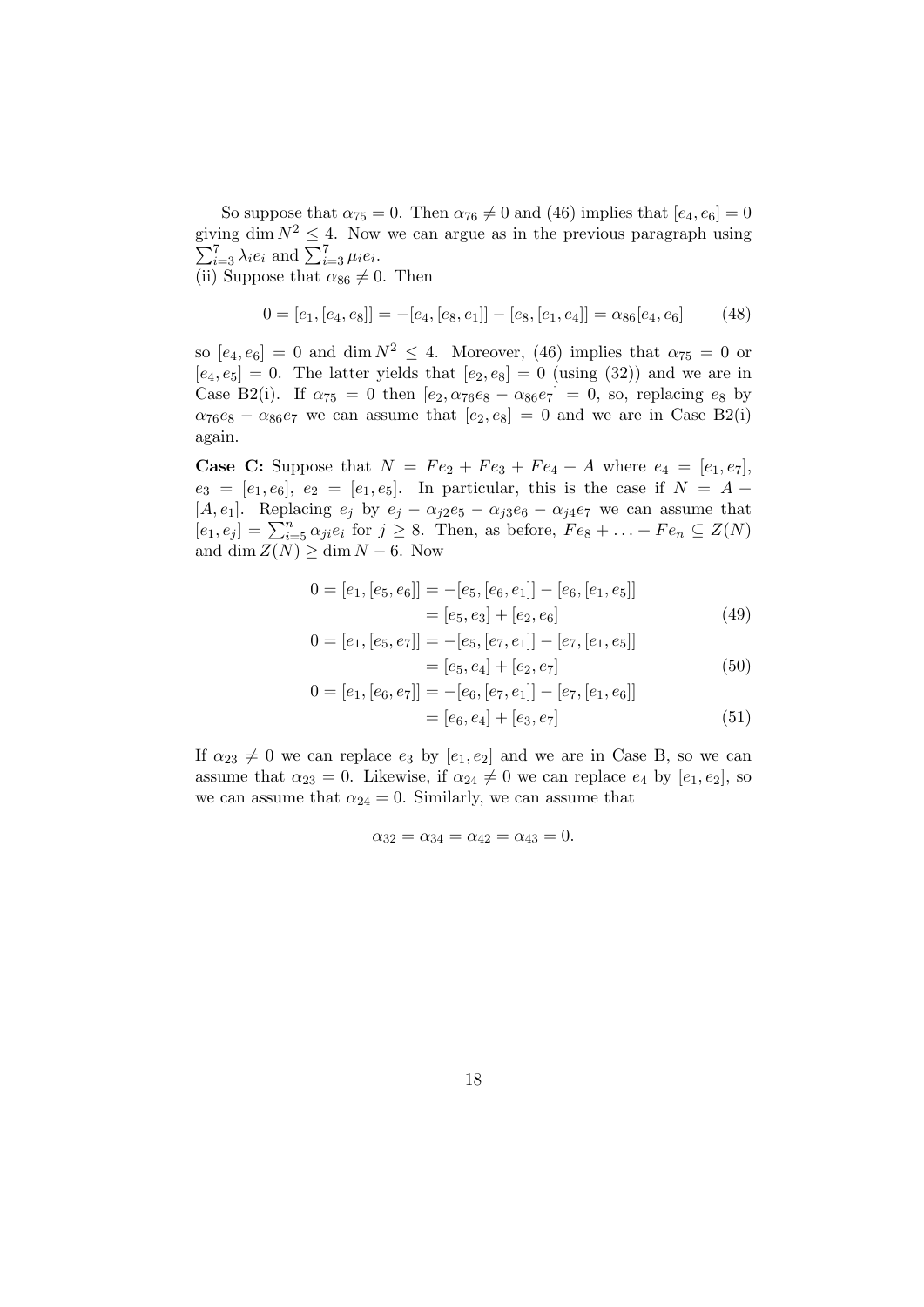So suppose that  $\alpha_{75} = 0$ . Then  $\alpha_{76} \neq 0$  and (46) implies that  $[e_4, e_6] = 0$ giving dim  $N^2 \leq 4$ . Now we can argue as in the previous paragraph using  $\sum_{i=3}^{7} \lambda_i e_i$  and  $\sum_{i=3}^{7} \mu_i e_i$ .

(ii) Suppose that  $\alpha_{86} \neq 0$ . Then

$$
0 = [e_1, [e_4, e_8]] = -[e_4, [e_8, e_1]] - [e_8, [e_1, e_4]] = \alpha_{86}[e_4, e_6]
$$
(48)

so  $[e_4, e_6] = 0$  and dim  $N^2 \leq 4$ . Moreover, (46) implies that  $\alpha_{75} = 0$  or  $[e_4, e_5] = 0$ . The latter yields that  $[e_2, e_8] = 0$  (using (32)) and we are in Case B2(i). If  $\alpha_{75} = 0$  then  $[e_2, \alpha_{76}e_8 - \alpha_{86}e_7] = 0$ , so, replacing  $e_8$  by  $\alpha_{76}e_8 - \alpha_{86}e_7$  we can assume that  $[e_2, e_8] = 0$  and we are in Case B2(i) again.

**Case C:** Suppose that  $N = Fe_2 + Fe_3 + Fe_4 + A$  where  $e_4 = [e_1, e_7]$ ,  $e_3 = [e_1, e_6], e_2 = [e_1, e_5].$  In particular, this is the case if  $N = A +$ [A, e<sub>1</sub>]. Replacing  $e_j$  by  $e_j - \alpha_{j2}e_5 - \alpha_{j3}e_6 - \alpha_{j4}e_7$  we can assume that  $[e_1, e_j] = \sum_{i=5}^n \alpha_{ji} e_i$  for  $j \ge 8$ . Then, as before,  $Fe_8 + \ldots + Fe_n \subseteq Z(N)$ and dim  $Z(N) \geq \dim N - 6$ . Now

$$
0 = [e1, [e5, e6]] = -[e5, [e6, e1]] - [e6, [e1, e5]]= [e5, e3] + [e2, e6] (49)
$$

$$
0 = [e1, [e5, e7]] = -[e5, [e7, e1]] - [e7, [e1, e5]]= [e5, e4] + [e2, e7] (50)
$$

$$
0 = [e_1, [e_6, e_7]] = -[e_6, [e_7, e_1]] - [e_7, [e_1, e_6]]
$$
  
= [e\_6, e\_4] + [e\_3, e\_7] (51)

If  $\alpha_{23} \neq 0$  we can replace  $e_3$  by  $[e_1, e_2]$  and we are in Case B, so we can assume that  $\alpha_{23} = 0$ . Likewise, if  $\alpha_{24} \neq 0$  we can replace  $e_4$  by  $[e_1, e_2]$ , so we can assume that  $\alpha_{24} = 0$ . Similarly, we can assume that

$$
\alpha_{32} = \alpha_{34} = \alpha_{42} = \alpha_{43} = 0.
$$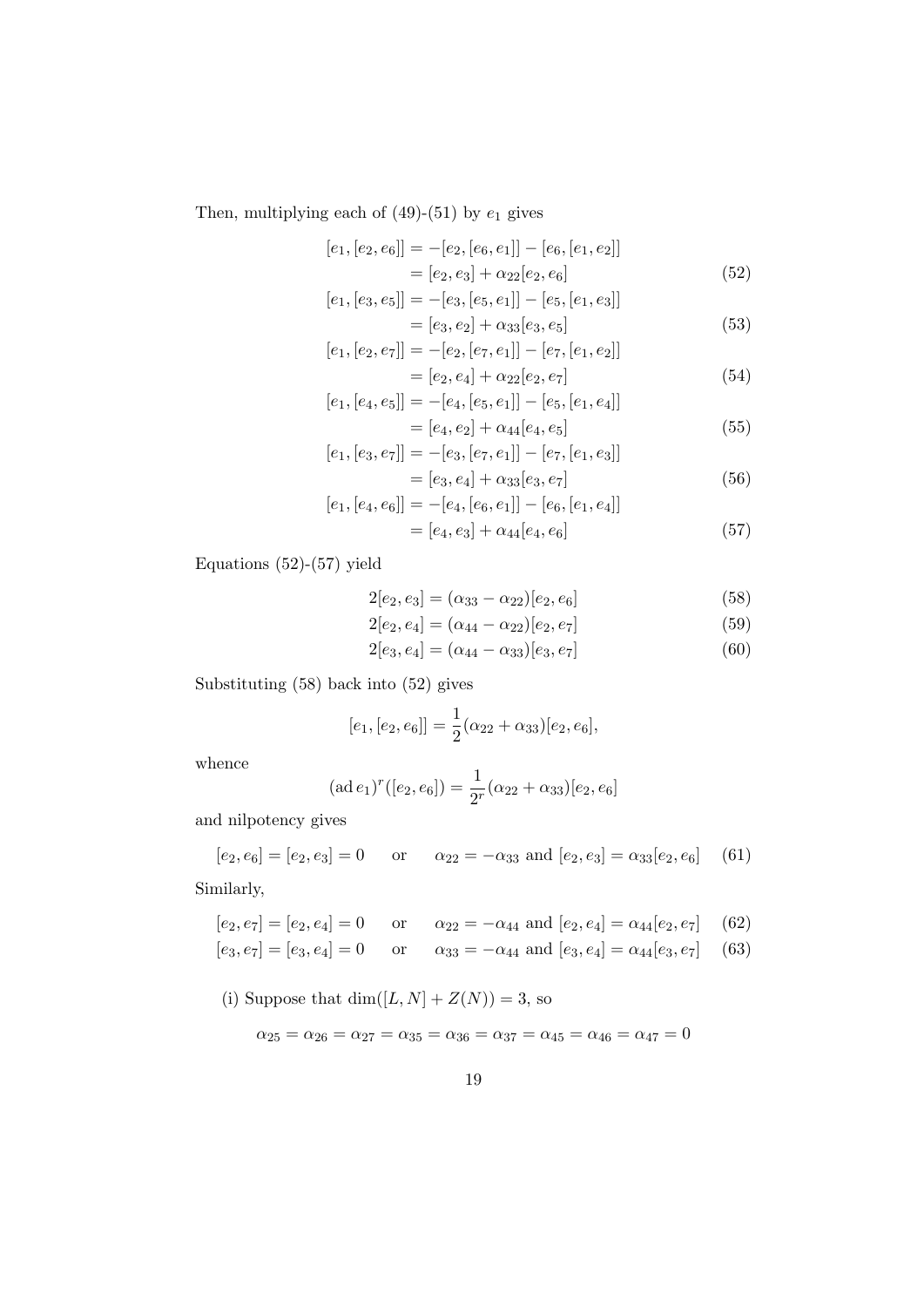Then, multiplying each of  $(49)-(51)$  by  $e_1$  gives

$$
[e_1, [e_2, e_6]] = -[e_2, [e_6, e_1]] - [e_6, [e_1, e_2]]
$$
  
= 
$$
[e_2, e_3] + \alpha_{22}[e_2, e_6]
$$
 (52)

$$
[e_1,[e_3,e_5]]=-[e_3,[e_5,e_1]]-[e_5,[e_1,e_3]]\\
$$

$$
= [e_3, e_2] + \alpha_{33}[e_3, e_5]
$$
  
the  $e_2$   $[-e_3, [e_2, e_3]]$   $[e_2, [e_3, e_2]]$  (53)

$$
[e_1, [e_2, e_7]] = -[e_2, [e_7, e_1]] - [e_7, [e_1, e_2]]
$$
  

$$
= [e_2, e_4] + \alpha_{22} [e_2, e_7]
$$
  

$$
[e_1, [e_1, e_7]] = -[e_1, [e_7, e_1]] - [e_7, [e_1, e_4]]
$$
  
(54)

$$
[e_1, [e_4, e_5]] = -[e_4, [e_5, e_1]] - [e_5, [e_1, e_4]]
$$
  
= 
$$
[e_4, e_2] + \alpha_{44}[e_4, e_5]
$$
 (55)

$$
[e_1, [e_3, e_7]] = -[e_3, [e_7, e_1]] - [e_7, [e_1, e_3]]
$$
 (50)

$$
= [e_3, e_4] + \alpha_{33}[e_3, e_7] \tag{50}
$$

$$
[e_1, [e_4, e_6]] = -[e_4, [e_6, e_1]] - [e_6, [e_1, e_4]]
$$
  
= 
$$
[e_4, e_3] + \alpha_{44}[e_4, e_6]
$$
 (57)

Equations  $(52)-(57)$  yield

$$
2[e_2, e_3] = (\alpha_{33} - \alpha_{22})[e_2, e_6]
$$
\n
$$
(58)
$$

$$
2[e_2, e_4] = (\alpha_{44} - \alpha_{22})[e_2, e_7]
$$
\n
$$
(59)
$$

$$
2[e_3, e_4] = (\alpha_{44} - \alpha_{33})[e_3, e_7]
$$
\n(60)

Substituting (58) back into (52) gives

$$
[e_1,[e_2,e_6]] = \frac{1}{2}(\alpha_{22}+\alpha_{33})[e_2,e_6],
$$

whence

$$
(\text{ad }e_1)^r([e_2, e_6]) = \frac{1}{2^r}(\alpha_{22} + \alpha_{33})[e_2, e_6]
$$

and nilpotency gives

$$
[e_2, e_6] = [e_2, e_3] = 0
$$
 or  $\alpha_{22} = -\alpha_{33}$  and  $[e_2, e_3] = \alpha_{33}[e_2, e_6]$  (61)

Similarly,

$$
[e_2, e_7] = [e_2, e_4] = 0
$$
 or  $\alpha_{22} = -\alpha_{44}$  and  $[e_2, e_4] = \alpha_{44}[e_2, e_7]$  (62)

$$
[e_3, e_7] = [e_3, e_4] = 0
$$
 or  $\alpha_{33} = -\alpha_{44}$  and  $[e_3, e_4] = \alpha_{44}[e_3, e_7]$  (63)

(i) Suppose that  $\dim([L,N]+Z(N))=3,$  so

$$
\alpha_{25}=\alpha_{26}=\alpha_{27}=\alpha_{35}=\alpha_{36}=\alpha_{37}=\alpha_{45}=\alpha_{46}=\alpha_{47}=0
$$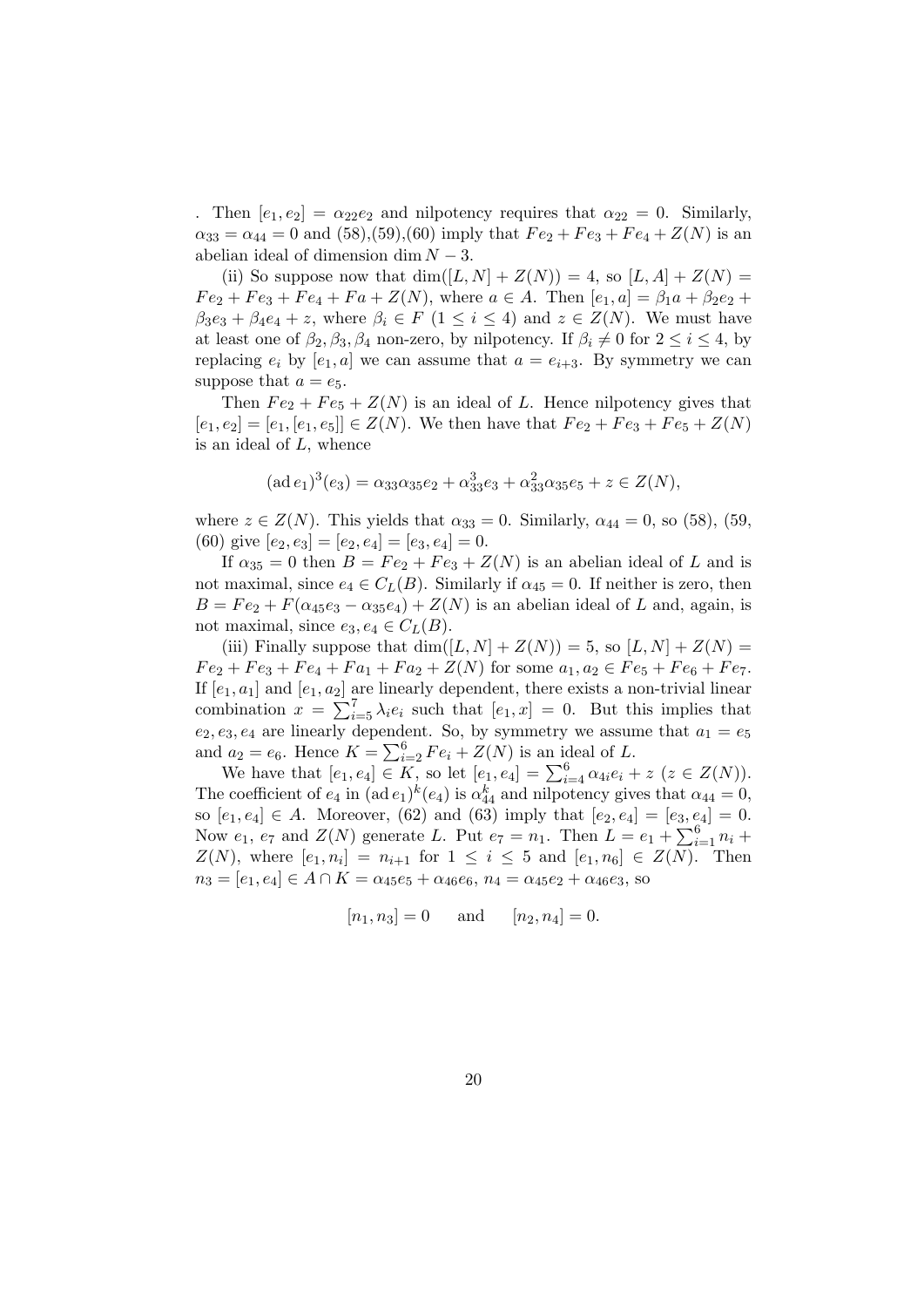. Then  $[e_1, e_2] = \alpha_{22}e_2$  and nilpotency requires that  $\alpha_{22} = 0$ . Similarly,  $\alpha_{33} = \alpha_{44} = 0$  and  $(58)$ ,  $(59)$ ,  $(60)$  imply that  $Fe_2 + Fe_3 + Fe_4 + Z(N)$  is an abelian ideal of dimension dim  $N-3$ .

(ii) So suppose now that  $\dim([L, N] + Z(N)) = 4$ , so  $[L, A] + Z(N) =$  $Fe_2 + Fe_3 + Fe_4 + Fa + Z(N)$ , where  $a \in A$ . Then  $[e_1, a] = \beta_1 a + \beta_2 e_2 +$  $\beta_3e_3 + \beta_4e_4 + z$ , where  $\beta_i \in F$  (1  $\leq i \leq 4$ ) and  $z \in Z(N)$ . We must have at least one of  $\beta_2, \beta_3, \beta_4$  non-zero, by nilpotency. If  $\beta_i \neq 0$  for  $2 \leq i \leq 4$ , by replacing  $e_i$  by  $[e_1, a]$  we can assume that  $a = e_{i+3}$ . By symmetry we can suppose that  $a = e_5$ .

Then  $Fe<sub>2</sub> + Fe<sub>5</sub> + Z(N)$  is an ideal of L. Hence nilpotency gives that  $[e_1, e_2] = [e_1, [e_1, e_5]] \in Z(N)$ . We then have that  $Fe_2 + Fe_3 + Fe_5 + Z(N)$ is an ideal of L, whence

$$
(\operatorname{ad} e_1)^3 (e_3) = \alpha_{33} \alpha_{35} e_2 + \alpha_{33}^3 e_3 + \alpha_{33}^2 \alpha_{35} e_5 + z \in Z(N),
$$

where  $z \in Z(N)$ . This yields that  $\alpha_{33} = 0$ . Similarly,  $\alpha_{44} = 0$ , so (58), (59, (60) give  $[e_2, e_3] = [e_2, e_4] = [e_3, e_4] = 0.$ 

If  $\alpha_{35} = 0$  then  $B = Fe_2 + Fe_3 + Z(N)$  is an abelian ideal of L and is not maximal, since  $e_4 \in C_L(B)$ . Similarly if  $\alpha_{45} = 0$ . If neither is zero, then  $B = Fe_2 + F(\alpha_{45}e_3 - \alpha_{35}e_4) + Z(N)$  is an abelian ideal of L and, again, is not maximal, since  $e_3, e_4 \in C_L(B)$ .

(iii) Finally suppose that  $\dim([L, N] + Z(N)) = 5$ , so  $[L, N] + Z(N) =$  $Fe_2 + Fe_3 + Fe_4 + Fa_1 + Fa_2 + Z(N)$  for some  $a_1, a_2 \in Fe_5 + Fe_6 + Fe_7$ . If  $[e_1, a_1]$  and  $[e_1, a_2]$  are linearly dependent, there exists a non-trivial linear combination  $x = \sum_{i=5}^{7} \lambda_i e_i$  such that  $[e_1, x] = 0$ . But this implies that  $e_2, e_3, e_4$  are linearly dependent. So, by symmetry we assume that  $a_1 = e_5$ and  $a_2 = e_6$ . Hence  $K = \sum_{i=2}^{6} Fe_i + Z(N)$  is an ideal of L.

We have that  $[e_1, e_4] \in K$ , so let  $[e_1, e_4] = \sum_{i=4}^{6} \alpha_{4i} e_i + z \ (z \in Z(N)).$ The coefficient of  $e_4$  in  $(\text{ad }e_1)^k(e_4)$  is  $\alpha_{44}^k$  and nilpotency gives that  $\alpha_{44} = 0$ , so  $[e_1, e_4] \in A$ . Moreover, (62) and (63) imply that  $[e_2, e_4] = [e_3, e_4] = 0$ . Now  $e_1$ ,  $e_7$  and  $Z(N)$  generate L. Put  $e_7 = n_1$ . Then  $L = e_1 + \sum_{i=1}^{6} n_i +$  $Z(N)$ , where  $[e_1, n_i] = n_{i+1}$  for  $1 \le i \le 5$  and  $[e_1, n_6] \in Z(N)$ . Then  $n_3 = [e_1, e_4] \in A \cap K = \alpha_{45}e_5 + \alpha_{46}e_6, n_4 = \alpha_{45}e_2 + \alpha_{46}e_3,$  so

$$
[n_1, n_3] = 0
$$
 and  $[n_2, n_4] = 0.$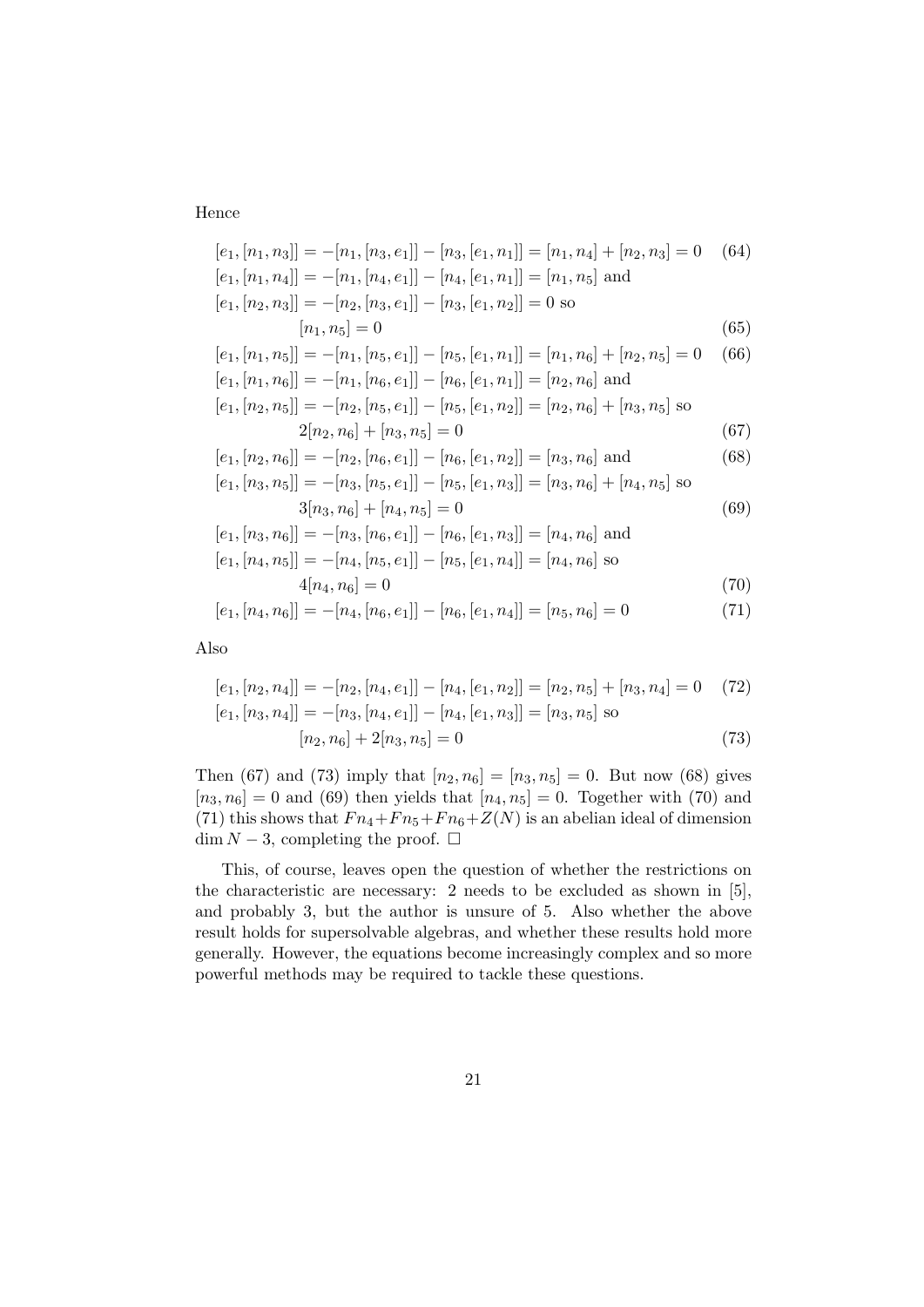### Hence

$$
[e_1, [n_1, n_3]] = -[n_1, [n_3, e_1]] - [n_3, [e_1, n_1]] = [n_1, n_4] + [n_2, n_3] = 0 \quad (64)
$$
  
\n
$$
[e_1, [n_1, n_4]] = -[n_1, [n_4, e_1]] - [n_4, [e_1, n_1]] = [n_1, n_5] \text{ and}
$$
  
\n
$$
[e_1, [n_2, n_3]] = -[n_2, [n_3, e_1]] - [n_3, [e_1, n_2]] = 0 \text{ so}
$$
  
\n
$$
[n_1, n_5] = 0 \quad (65)
$$
  
\n
$$
[e_1, [n_1, n_5]] = -[n_1, [n_5, e_1]] - [n_5, [e_1, n_1]] = [n_1, n_6] + [n_2, n_5] = 0 \quad (66)
$$
  
\n
$$
[e_1, [n_1, n_6]] = -[n_1, [n_6, e_1]] - [n_6, [e_1, n_1]] = [n_2, n_6] \text{ and}
$$
  
\n
$$
[e_1, [n_2, n_5]] = -[n_2, [n_5, e_1]] - [n_5, [e_1, n_2]] = [n_2, n_6] + [n_3, n_5] \text{ so}
$$
  
\n
$$
2[n_2, n_6] + [n_3, n_5] = 0 \quad (67)
$$
  
\n
$$
[e_1, [n_2, n_6]] = -[n_2, [n_6, e_1]] - [n_6, [e_1, n_2]] = [n_3, n_6] \text{ and}
$$
  
\n
$$
[e_1, [n_3, n_5]] = -[n_3, [n_5, e_1]] - [n_5, [e_1, n_3]] = [n_3, n_6] + [n_4, n_5] \text{ so}
$$
  
\n
$$
3[n_3, n_6] + [n_4, n_5] = 0 \quad (69)
$$
  
\n
$$
[e_1, [n_3, n_6]] = -[n_3, [n_6, e_1]] - [n_6, [e_1, n_
$$

$$
[e_1, [n_4, n_6]] = -[n_4, [n_6, e_1]] - [n_6, [e_1, n_4]] = [n_5, n_6] = 0 \tag{71}
$$

Also

$$
[e_1, [n_2, n_4]] = -[n_2, [n_4, e_1]] - [n_4, [e_1, n_2]] = [n_2, n_5] + [n_3, n_4] = 0 \quad (72)
$$
  
\n
$$
[e_1, [n_3, n_4]] = -[n_3, [n_4, e_1]] - [n_4, [e_1, n_3]] = [n_3, n_5] \text{ so}
$$
  
\n
$$
[n_2, n_6] + 2[n_3, n_5] = 0 \quad (73)
$$

Then (67) and (73) imply that  $[n_2, n_6] = [n_3, n_5] = 0$ . But now (68) gives  $[n_3, n_6] = 0$  and (69) then yields that  $[n_4, n_5] = 0$ . Together with (70) and (71) this shows that  $Fn_4 + Fn_5 + Fn_6 + Z(N)$  is an abelian ideal of dimension  $\dim N - 3$ , completing the proof.  $\square$ 

This, of course, leaves open the question of whether the restrictions on the characteristic are necessary: 2 needs to be excluded as shown in  $[5]$ , and probably 3, but the author is unsure of 5. Also whether the above result holds for supersolvable algebras, and whether these results hold more generally. However, the equations become increasingly complex and so more powerful methods may be required to tackle these questions.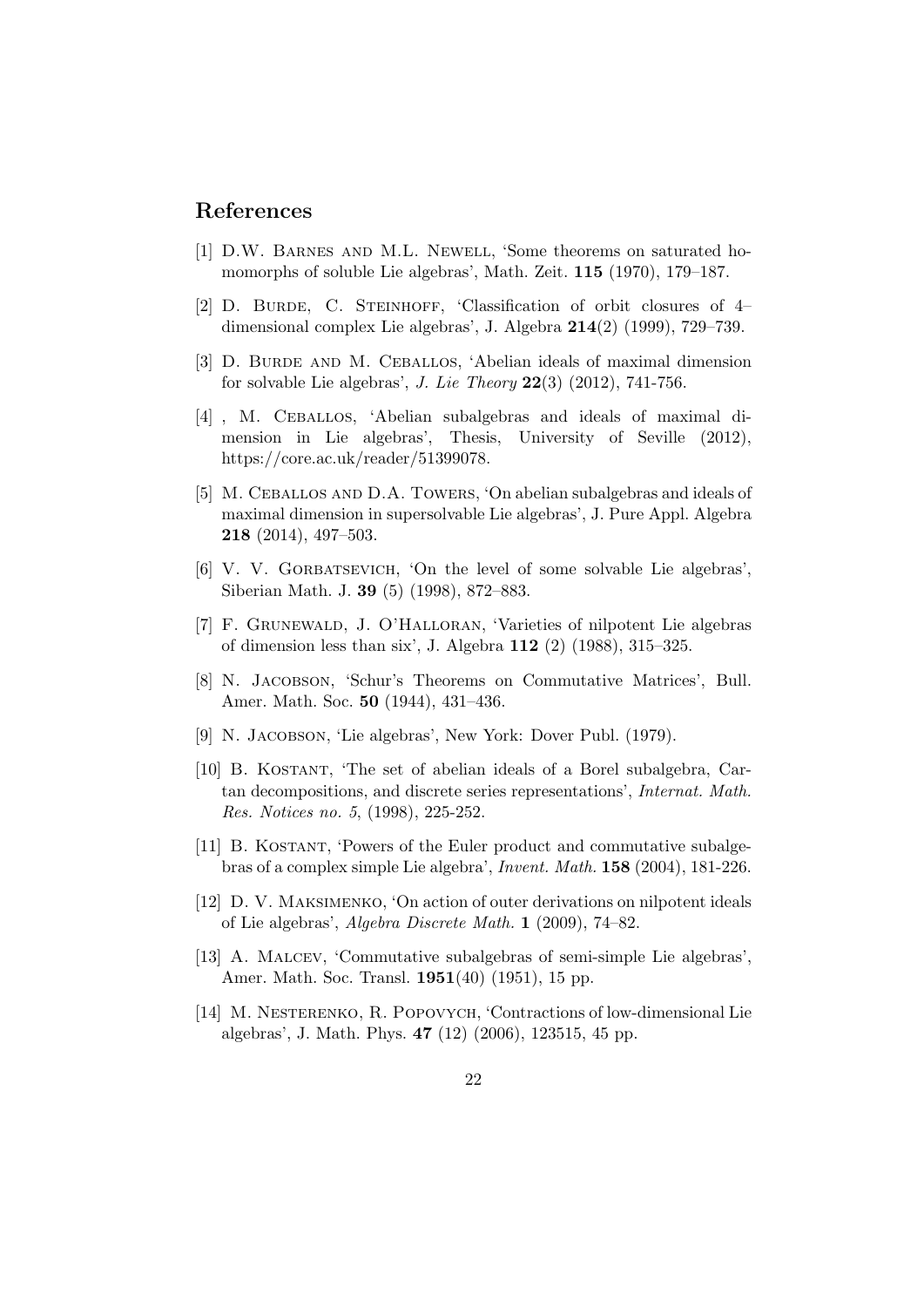## References

- [1] D.W. Barnes and M.L. Newell, 'Some theorems on saturated homomorphs of soluble Lie algebras', Math. Zeit. 115 (1970), 179–187.
- [2] D. BURDE, C. STEINHOFF, 'Classification of orbit closures of 4– dimensional complex Lie algebras', J. Algebra 214(2) (1999), 729–739.
- [3] D. BURDE AND M. CEBALLOS, 'Abelian ideals of maximal dimension for solvable Lie algebras', J. Lie Theory  $22(3)$   $(2012)$ , 741-756.
- [4] , M. Ceballos, 'Abelian subalgebras and ideals of maximal dimension in Lie algebras', Thesis, University of Seville (2012), https://core.ac.uk/reader/51399078.
- [5] M. CEBALLOS AND D.A. TOWERS, 'On abelian subalgebras and ideals of maximal dimension in supersolvable Lie algebras', J. Pure Appl. Algebra 218 (2014), 497–503.
- [6] V. V. Gorbatsevich, 'On the level of some solvable Lie algebras', Siberian Math. J. 39 (5) (1998), 872–883.
- [7] F. Grunewald, J. O'Halloran, 'Varieties of nilpotent Lie algebras of dimension less than six', J. Algebra 112 (2) (1988), 315–325.
- [8] N. JACOBSON, 'Schur's Theorems on Commutative Matrices', Bull. Amer. Math. Soc. 50 (1944), 431–436.
- [9] N. JACOBSON, 'Lie algebras', New York: Dover Publ. (1979).
- [10] B. KOSTANT, 'The set of abelian ideals of a Borel subalgebra, Cartan decompositions, and discrete series representations', Internat. Math. Res. Notices no. 5, (1998), 225-252.
- [11] B. KOSTANT, 'Powers of the Euler product and commutative subalgebras of a complex simple Lie algebra', Invent. Math. 158 (2004), 181-226.
- [12] D. V. Maksimenko, 'On action of outer derivations on nilpotent ideals of Lie algebras', Algebra Discrete Math. 1 (2009), 74–82.
- [13] A. Malcev, 'Commutative subalgebras of semi-simple Lie algebras', Amer. Math. Soc. Transl. 1951(40) (1951), 15 pp.
- [14] M. NESTERENKO, R. POPOVYCH, 'Contractions of low-dimensional Lie algebras', J. Math. Phys. 47 (12) (2006), 123515, 45 pp.